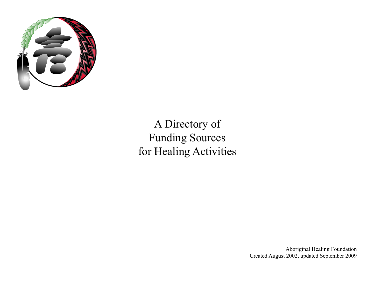

# A Directory of Funding Sources for Healing Activities

Aboriginal Healing Foundation Created August 2002, updated September 2009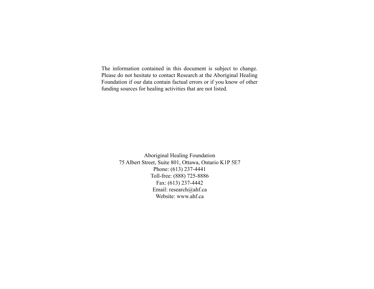The information contained in this document is subject to change. Please do not hesitate to contact Research at the Aboriginal Healing Foundation if our data contain factual errors or if you know of other funding sources for healing activities that are not listed.

> Aboriginal Healing Foundation 75 Albert Street, Suite 801, Ottawa, Ontario K1P 5E7 Phone: (613) 237-4441 Toll-free: (888) 725-8886 Fax: (613) 237-4442 Email: research@ahf.ca Website: www.ahf.ca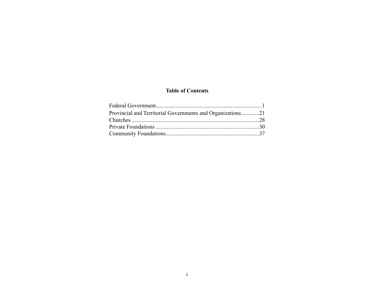#### **Table of Contents**

| Provincial and Territorial Governments and Organizations21 |  |
|------------------------------------------------------------|--|
|                                                            |  |
|                                                            |  |
|                                                            |  |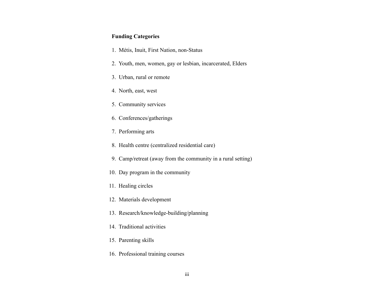#### **Funding Categories**

- 1. Métis, Inuit, First Nation, non-Status
- 2. Youth, men, women, gay or lesbian, incarcerated, Elders
- 3. Urban, rural or remote
- 4. North, east, west
- 5. Community services
- 6. Conferences/gatherings
- 7. Performing arts
- 8. Health centre (centralized residential care)
- 9. Camp/retreat (away from the community in a rural setting)
- 10. Day program in the community
- 11. Healing circles
- 12. Materials development
- 13. Research/knowledge-building/planning
- 14. Traditional activities
- 15. Parenting skills
- 16. Professional training courses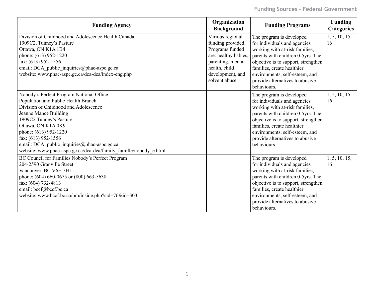| <b>Funding Agency</b>                                                                                                                                                                                                                                                                                                                                                  | Organization<br><b>Background</b>                                                                                                                            | <b>Funding Programs</b>                                                                                                                                                                                                                                                                  | <b>Funding</b><br><b>Categories</b> |
|------------------------------------------------------------------------------------------------------------------------------------------------------------------------------------------------------------------------------------------------------------------------------------------------------------------------------------------------------------------------|--------------------------------------------------------------------------------------------------------------------------------------------------------------|------------------------------------------------------------------------------------------------------------------------------------------------------------------------------------------------------------------------------------------------------------------------------------------|-------------------------------------|
| Division of Childhood and Adolescence Health Canada<br>1909C2, Tunney's Pasture<br>Ottawa, ON K1A 1B4<br>phone: (613) 952-1220<br>fax: $(613)$ 952-1556<br>email: DCA_public_inquiries@phac-aspc.gc.ca<br>website: www.phac-aspc.gc.ca/dca-dea/index-eng.php                                                                                                           | Various regional<br>funding provided.<br>Programs funded<br>are: healthy babies,<br>parenting, mental<br>health, child<br>development, and<br>solvent abuse. | The program is developed<br>for individuals and agencies<br>working with at-risk families,<br>parents with children 0-5yrs. The<br>objective is to support, strengthen<br>families, create healthier<br>environments, self-esteem, and<br>provide alternatives to abusive<br>behaviours. | 1, 5, 10, 15,<br>16                 |
| Nobody's Perfect Program National Office<br>Population and Public Health Branch<br>Division of Childhood and Adolescence<br>Jeanne Mance Building<br>1909C2 Tunney's Pasture<br>Ottawa, ON K1A 0K9<br>phone: (613) 952-1220<br>fax: (613) 952-1556<br>email: DCA_public_inquiries@phac-aspc.gc.ca<br>website: www.phac-aspc.gc.ca/dca-dea/family famille/nobody e.html |                                                                                                                                                              | The program is developed<br>for individuals and agencies<br>working with at-risk families,<br>parents with children 0-5yrs. The<br>objective is to support, strengthen<br>families, create healthier<br>environments, self-esteem, and<br>provide alternatives to abusive<br>behaviours. | 1, 5, 10, 15,<br>16                 |
| BC Council for Families Nobody's Perfect Program<br>204-2590 Granville Street<br>Vancouver, BC V6H 3H1<br>phone: (604) 660-0675 or (800) 663-5638<br>fax: (604) 732-4813<br>email: bccf@bccf.bc.ca<br>website: www.bccf.bc.ca/hm/inside.php?sid=76&id=303                                                                                                              |                                                                                                                                                              | The program is developed<br>for individuals and agencies<br>working with at-risk families,<br>parents with children 0-5yrs. The<br>objective is to support, strengthen<br>families, create healthier<br>environments, self-esteem, and<br>provide alternatives to abusive<br>behaviours. | 1, 5, 10, 15,<br>16                 |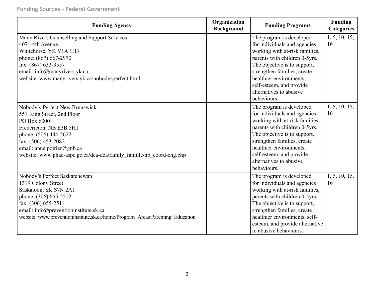| <b>Funding Agency</b>                                                                                                                                                                                                                                        | Organization<br><b>Background</b> | <b>Funding Programs</b>                                                                                                                                                                                                                                                                     | <b>Funding</b><br><b>Categories</b> |
|--------------------------------------------------------------------------------------------------------------------------------------------------------------------------------------------------------------------------------------------------------------|-----------------------------------|---------------------------------------------------------------------------------------------------------------------------------------------------------------------------------------------------------------------------------------------------------------------------------------------|-------------------------------------|
| Many Rivers Counselling and Support Services<br>4071-4th Avenue<br>Whitehorse, YK Y1A 1H3<br>phone: (867) 667-2970<br>fax: (867) 633-3557<br>email: info@manyrivers.yk.ca<br>website: www.manyrivers.yk.ca/nobodysperfect.html                               |                                   | The program is developed<br>for individuals and agencies<br>working with at-risk families,<br>parents with children 0-5yrs.<br>The objective is to support,<br>strengthen families, create<br>healthier environments,<br>self-esteem, and provide<br>alternatives to abusive<br>behaviours. | 1, 5, 10, 15,<br>16                 |
| Nobody's Perfect New Brunswick<br>551 King Street, 2nd Floor<br>PO Box 6000<br>Fredericton, NB E3B 5H1<br>phone: (506) 444-5622<br>fax: (506) 453-2082<br>email: anne.poirier@gnb.ca<br>website: www.phac-aspc.gc.ca/dca-dea/family_famille/np_coord-eng.php |                                   | The program is developed<br>for individuals and agencies<br>working with at-risk families,<br>parents with children 0-5yrs.<br>The objective is to support,<br>strengthen families, create<br>healthier environments,<br>self-esteem, and provide<br>alternatives to abusive<br>behaviours. | 1, 5, 10, 15,<br>16                 |
| Nobody's Perfect Saskatchewan<br>1319 Colony Street<br>Saskatoon, SK S7N 2A1<br>phone: (306) 655-2512<br>fax: (306) 655-2511<br>email: info@preventioninstitute.sk.ca<br>website: www.preventioninstitute.sk.ca/home/Program Areas/Parenting Education       |                                   | The program is developed<br>for individuals and agencies<br>working with at-risk families,<br>parents with children 0-5yrs.<br>The objective is to support,<br>strengthen families, create<br>healthier environments, self-<br>esteem, and provide alternative<br>to abusive behaviours.    | 1, 5, 10, 15,<br>16                 |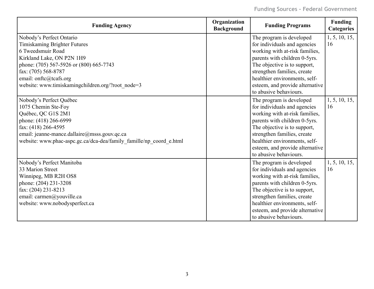| <b>Funding Agency</b>                                                                                                                                                                                                                                       | Organization<br><b>Background</b> | <b>Funding Programs</b>                                                                                                                                                                                                                                                                  | <b>Funding</b><br><b>Categories</b> |
|-------------------------------------------------------------------------------------------------------------------------------------------------------------------------------------------------------------------------------------------------------------|-----------------------------------|------------------------------------------------------------------------------------------------------------------------------------------------------------------------------------------------------------------------------------------------------------------------------------------|-------------------------------------|
| Nobody's Perfect Ontario<br>Timiskaming Brighter Futures<br>6 Tweedsmuir Road<br>Kirkland Lake, ON P2N 1H9<br>phone: (705) 567-5926 or (800) 665-7743<br>fax: (705) 568-8787<br>email: onftc@tcafs.org<br>website: www.timiskamingchildren.org/?root node=3 |                                   | The program is developed<br>for individuals and agencies<br>working with at-risk families,<br>parents with children 0-5yrs.<br>The objective is to support,<br>strengthen families, create<br>healthier environments, self-<br>esteem, and provide alternative<br>to abusive behaviours. | 1, 5, 10, 15,<br>16                 |
| Nobody's Perfect Québec<br>1075 Chemin Ste-Foy<br>Québec, QC G1S 2M1<br>phone: (418) 266-6999<br>fax: (418) 266-4595<br>email: jeanne-mance.dallaire@msss.gouv.qc.ca<br>website: www.phac-aspc.gc.ca/dca-dea/family famille/np coord e.html                 |                                   | The program is developed<br>for individuals and agencies<br>working with at-risk families,<br>parents with children 0-5yrs.<br>The objective is to support,<br>strengthen families, create<br>healthier environments, self-<br>esteem, and provide alternative<br>to abusive behaviours. | 1, 5, 10, 15,<br>16                 |
| Nobody's Perfect Manitoba<br>33 Marion Street<br>Winnipeg, MB R2H OS8<br>phone: (204) 231-3208<br>fax: (204) 231-8213<br>email: carmen@youville.ca<br>website: www.nobodysperfect.ca                                                                        |                                   | The program is developed<br>for individuals and agencies<br>working with at-risk families,<br>parents with children 0-5yrs.<br>The objective is to support,<br>strengthen families, create<br>healthier environments, self-<br>esteem, and provide alternative<br>to abusive behaviours. | 1, 5, 10, 15,<br>16                 |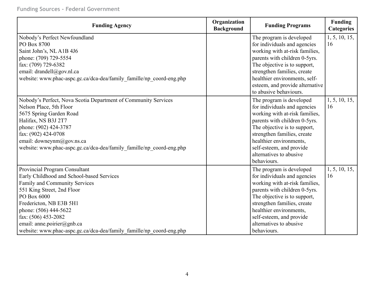| <b>Funding Agency</b>                                                | Organization<br><b>Background</b> | <b>Funding Programs</b>         | <b>Funding</b><br><b>Categories</b> |
|----------------------------------------------------------------------|-----------------------------------|---------------------------------|-------------------------------------|
| Nobody's Perfect Newfoundland                                        |                                   | The program is developed        | 1, 5, 10, 15,                       |
| PO Box 8700                                                          |                                   | for individuals and agencies    | 16                                  |
| Saint John's, NLA1B 4J6                                              |                                   | working with at-risk families,  |                                     |
| phone: (709) 729-5554                                                |                                   | parents with children 0-5yrs.   |                                     |
| fax: (709) 729-6382                                                  |                                   | The objective is to support,    |                                     |
| email: drandell@gov.nl.ca                                            |                                   | strengthen families, create     |                                     |
| website: www.phac-aspc.gc.ca/dca-dea/family famille/np coord-eng.php |                                   | healthier environments, self-   |                                     |
|                                                                      |                                   | esteem, and provide alternative |                                     |
|                                                                      |                                   | to abusive behaviours.          |                                     |
| Nobody's Perfect, Nova Scotia Department of Community Services       |                                   | The program is developed        | 1, 5, 10, 15,                       |
| Nelson Place, 5th Floor                                              |                                   | for individuals and agencies    | 16                                  |
| 5675 Spring Garden Road                                              |                                   | working with at-risk families,  |                                     |
| Halifax, NS B3J 2T7                                                  |                                   | parents with children 0-5yrs.   |                                     |
| phone: (902) 424-3787                                                |                                   | The objective is to support,    |                                     |
| fax: (902) 424-0708                                                  |                                   | strengthen families, create     |                                     |
| email: downeynm@gov.ns.ca                                            |                                   | healthier environments,         |                                     |
| website: www.phac-aspc.gc.ca/dca-dea/family famille/np coord-eng.php |                                   | self-esteem, and provide        |                                     |
|                                                                      |                                   | alternatives to abusive         |                                     |
|                                                                      |                                   | behaviours.                     |                                     |
| Provincial Program Consultant                                        |                                   | The program is developed        | 1, 5, 10, 15,                       |
| Early Childhood and School-based Services                            |                                   | for individuals and agencies    | 16                                  |
| Family and Community Services                                        |                                   | working with at-risk families,  |                                     |
| 551 King Street, 2nd Floor                                           |                                   | parents with children 0-5yrs.   |                                     |
| PO Box 6000                                                          |                                   | The objective is to support,    |                                     |
| Fredericton, NB E3B 5H1                                              |                                   | strengthen families, create     |                                     |
| phone: (506) 444-5622                                                |                                   | healthier environments,         |                                     |
| fax: (506) 453-2082                                                  |                                   | self-esteem, and provide        |                                     |
| email: anne.poirier@gnb.ca                                           |                                   | alternatives to abusive         |                                     |
| website: www.phac-aspc.gc.ca/dca-dea/family famille/np coord-eng.php |                                   | behaviours.                     |                                     |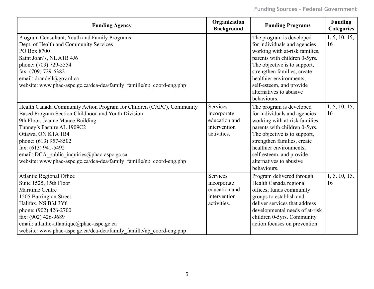| <b>Funding Agency</b>                                                                                                                                                                                                                                                                                                                                                                      | Organization<br><b>Background</b>                                       | <b>Funding Programs</b>                                                                                                                                                                                                                                                                     | <b>Funding</b><br><b>Categories</b> |
|--------------------------------------------------------------------------------------------------------------------------------------------------------------------------------------------------------------------------------------------------------------------------------------------------------------------------------------------------------------------------------------------|-------------------------------------------------------------------------|---------------------------------------------------------------------------------------------------------------------------------------------------------------------------------------------------------------------------------------------------------------------------------------------|-------------------------------------|
| Program Consultant, Youth and Family Programs<br>Dept. of Health and Community Services<br>PO Box 8700<br>Saint John's, NLA1B 4J6<br>phone: (709) 729-5554<br>fax: (709) 729-6382<br>email: drandell@gov.nl.ca<br>website: www.phac-aspc.gc.ca/dca-dea/family_famille/np_coord-eng.php                                                                                                     |                                                                         | The program is developed<br>for individuals and agencies<br>working with at-risk families,<br>parents with children 0-5yrs.<br>The objective is to support,<br>strengthen families, create<br>healthier environments,<br>self-esteem, and provide<br>alternatives to abusive<br>behaviours. | 1, 5, 10, 15,<br>16                 |
| Health Canada Community Action Program for Children (CAPC), Community<br>Based Program Section Childhood and Youth Division<br>9th Floor, Jeanne Mance Building<br>Tunney's Pasture AL 1909C2<br>Ottawa, ON K1A 1B4<br>phone: (613) 957-8502<br>fax: (613) 941-5492<br>email: DCA_public_inquiries@phac-aspc.gc.ca<br>website: www.phac-aspc.gc.ca/dca-dea/family_famille/np_coord-eng.php | Services<br>incorporate<br>education and<br>intervention<br>activities. | The program is developed<br>for individuals and agencies<br>working with at-risk families,<br>parents with children 0-5yrs.<br>The objective is to support,<br>strengthen families, create<br>healthier environments,<br>self-esteem, and provide<br>alternatives to abusive<br>behaviours. | 1, 5, 10, 15,<br>16                 |
| <b>Atlantic Regional Office</b><br>Suite 1525, 15th Floor<br>Maritime Centre<br>1505 Barrington Street<br>Halifax, NS B3J 3Y6<br>phone: (902) 426-2700<br>fax: (902) 426-9689<br>email: atlantic-atlantique@phac-aspc.gc.ca<br>website: www.phac-aspc.gc.ca/dca-dea/family famille/np coord-eng.php                                                                                        | Services<br>incorporate<br>education and<br>intervention<br>activities. | Program delivered through<br>Health Canada regional<br>offices; funds community<br>groups to establish and<br>deliver services that address<br>developmental needs of at-risk<br>children 0-5yrs. Community<br>action focuses on prevention.                                                | 1, 5, 10, 15,<br>16                 |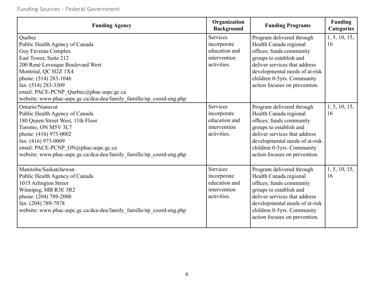| <b>Funding Agency</b>                                                                                                                                                                                                                                                                                                   | Organization<br><b>Background</b>                                       | <b>Funding Programs</b>                                                                                                                                                                                                                      | <b>Funding</b><br><b>Categories</b> |
|-------------------------------------------------------------------------------------------------------------------------------------------------------------------------------------------------------------------------------------------------------------------------------------------------------------------------|-------------------------------------------------------------------------|----------------------------------------------------------------------------------------------------------------------------------------------------------------------------------------------------------------------------------------------|-------------------------------------|
| Quebec<br>Public Health Agency of Canada<br>Guy Favreau Complex<br>East Tower, Suite 212<br>200 René Levesque Boulevard West<br>Montréal, QC H2Z 1X4<br>phone: (514) 283-1046<br>fax: (514) 283-3309<br>email: PACE-PCNP_Quebec@phac-aspc.gc.ca<br>website: www.phac-aspc.gc.ca/dca-dea/family famille/np coord-eng.php | Services<br>incorporate<br>education and<br>intervention<br>activities. | Program delivered through<br>Health Canada regional<br>offices; funds community<br>groups to establish and<br>deliver services that address<br>developmental needs of at-risk<br>children 0-5yrs. Community<br>action focuses on prevention. | 1, 5, 10, 15,<br>16                 |
| Ontario/Nunavut<br>Public Health Agency of Canada<br>180 Queen Street West, 11th Floor<br>Toronto, ON M5V 3L7<br>phone: (416) 973-0002<br>fax: (416) 973-0009<br>email: PACE-PCNP_ON@phac-aspc.gc.ca<br>website: www.phac-aspc.gc.ca/dca-dea/family_famille/np_coord-eng.php                                            | Services<br>incorporate<br>education and<br>intervention<br>activities. | Program delivered through<br>Health Canada regional<br>offices; funds community<br>groups to establish and<br>deliver services that address<br>developmental needs of at-risk<br>children 0-5yrs. Community<br>action focuses on prevention. | 1, 5, 10, 15,<br>16                 |
| Manitoba/Saskatchewan<br>Public Health Agency of Canada<br>1015 Arlington Street<br>Winnipeg, MB R3E 3R2<br>phone: (204) 789-2000<br>fax: (204) 789-7878<br>website: www.phac-aspc.gc.ca/dca-dea/family_famille/np_coord-eng.php                                                                                        | Services<br>incorporate<br>education and<br>intervention<br>activities. | Program delivered through<br>Health Canada regional<br>offices; funds community<br>groups to establish and<br>deliver services that address<br>developmental needs of at-risk<br>children 0-5yrs. Community<br>action focuses on prevention. | 1, 5, 10, 15,<br>16                 |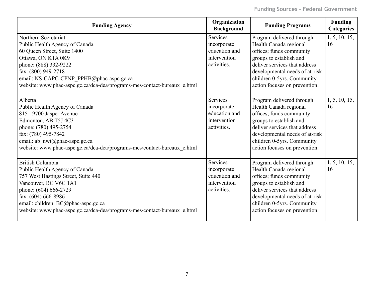| <b>Funding Agency</b>                                                                                                                                                                                                                                                                       | Organization<br><b>Background</b>                                              | <b>Funding Programs</b>                                                                                                                                                                                                                      | <b>Funding</b><br><b>Categories</b> |
|---------------------------------------------------------------------------------------------------------------------------------------------------------------------------------------------------------------------------------------------------------------------------------------------|--------------------------------------------------------------------------------|----------------------------------------------------------------------------------------------------------------------------------------------------------------------------------------------------------------------------------------------|-------------------------------------|
| Northern Secretariat<br>Public Health Agency of Canada<br>60 Queen Street, Suite 1400<br>Ottawa, ON K1A 0K9<br>phone: (888) 332-9222<br>fax: (800) 949-2718<br>email: NS-CAPC-CPNP_PPHB@phac-aspc.gc.ca<br>website: www.phac-aspc.gc.ca/dca-dea/programs-mes/contact-bureaux e.html         | <b>Services</b><br>incorporate<br>education and<br>intervention<br>activities. | Program delivered through<br>Health Canada regional<br>offices; funds community<br>groups to establish and<br>deliver services that address<br>developmental needs of at-risk<br>children 0-5yrs. Community<br>action focuses on prevention. | 1, 5, 10, 15,<br>16                 |
| Alberta<br>Public Health Agency of Canada<br>815 - 9700 Jasper Avenue<br>Edmonton, AB T5J 4C3<br>phone: (780) 495-2754<br>fax: (780) 495-7842<br>email: ab_nwt@phac-aspc.gc.ca<br>website: www.phac-aspc.gc.ca/dca-dea/programs-mes/contact-bureaux e.html                                  | <b>Services</b><br>incorporate<br>education and<br>intervention<br>activities. | Program delivered through<br>Health Canada regional<br>offices; funds community<br>groups to establish and<br>deliver services that address<br>developmental needs of at-risk<br>children 0-5yrs. Community<br>action focuses on prevention. | 1, 5, 10, 15,<br>16                 |
| <b>British Columbia</b><br>Public Health Agency of Canada<br>757 West Hastings Street, Suite 440<br>Vancouver, BC V6C 1A1<br>phone: (604) 666-2729<br>fax: (604) 666-8986<br>email: children_BC@phac-aspc.gc.ca<br>website: www.phac-aspc.gc.ca/dca-dea/programs-mes/contact-bureaux e.html | Services<br>incorporate<br>education and<br>intervention<br>activities.        | Program delivered through<br>Health Canada regional<br>offices; funds community<br>groups to establish and<br>deliver services that address<br>developmental needs of at-risk<br>children 0-5yrs. Community<br>action focuses on prevention. | 1, 5, 10, 15,<br>16                 |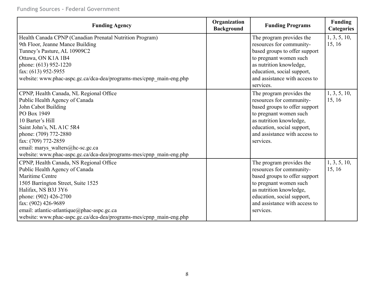| <b>Funding Agency</b>                                                                                                                                                                                                                                                                                                                 | Organization<br><b>Background</b> | <b>Funding Programs</b>                                                                                                                                                                                                | <b>Funding</b><br><b>Categories</b> |
|---------------------------------------------------------------------------------------------------------------------------------------------------------------------------------------------------------------------------------------------------------------------------------------------------------------------------------------|-----------------------------------|------------------------------------------------------------------------------------------------------------------------------------------------------------------------------------------------------------------------|-------------------------------------|
| Health Canada CPNP (Canadian Prenatal Nutrition Program)<br>9th Floor, Jeanne Mance Building<br>Tunney's Pasture, AL 10909C2<br>Ottawa, ON K1A 1B4<br>phone: (613) 952-1220<br>fax: (613) 952-5955<br>website: www.phac-aspc.gc.ca/dca-dea/programs-mes/cpnp_main-eng.php                                                             |                                   | The program provides the<br>resources for community-<br>based groups to offer support<br>to pregnant women such<br>as nutrition knowledge,<br>education, social support,<br>and assistance with access to<br>services. | 1, 3, 5, 10,<br>15, 16              |
| CPNP, Health Canada, NL Regional Office<br>Public Health Agency of Canada<br>John Cabot Building<br>PO Box 1949<br>10 Barter's Hill<br>Saint John's, NL A1C 5R4<br>phone: (709) 772-2880<br>fax: (709) 772-2859<br>email: marys walters@hc-sc.gc.ca<br>website: www.phac-aspc.gc.ca/dca-dea/programs-mes/cpnp_main-eng.php            |                                   | The program provides the<br>resources for community-<br>based groups to offer support<br>to pregnant women such<br>as nutrition knowledge,<br>education, social support,<br>and assistance with access to<br>services. | 1, 3, 5, 10,<br>15, 16              |
| CPNP, Health Canada, NS Regional Office<br>Public Health Agency of Canada<br><b>Maritime Centre</b><br>1505 Barrington Street, Suite 1525<br>Halifax, NS B3J 3Y6<br>phone: (902) 426-2700<br>fax: (902) 426-9689<br>email: atlantic-atlantique@phac-aspc.gc.ca<br>website: www.phac-aspc.gc.ca/dca-dea/programs-mes/cpnp_main-eng.php |                                   | The program provides the<br>resources for community-<br>based groups to offer support<br>to pregnant women such<br>as nutrition knowledge,<br>education, social support,<br>and assistance with access to<br>services. | 1, 3, 5, 10,<br>15, 16              |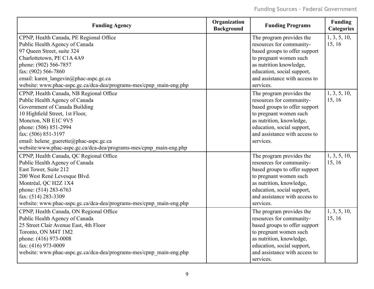| <b>Funding Agency</b>                                               | Organization<br><b>Background</b> | <b>Funding Programs</b>       | <b>Funding</b><br><b>Categories</b> |
|---------------------------------------------------------------------|-----------------------------------|-------------------------------|-------------------------------------|
| CPNP, Health Canada, PE Regional Office                             |                                   | The program provides the      | 1, 3, 5, 10,                        |
| Public Health Agency of Canada                                      |                                   | resources for community-      | 15, 16                              |
| 97 Queen Street, suite 324                                          |                                   | based groups to offer support |                                     |
| Charlottetown, PE C1A 4A9                                           |                                   | to pregnant women such        |                                     |
| phone: (902) 566-7857                                               |                                   | as nutrition knowledge,       |                                     |
| fax: (902) 566-7860                                                 |                                   | education, social support,    |                                     |
| email: karen langevin@phac-aspc.gc.ca                               |                                   | and assistance with access to |                                     |
| website: www.phac-aspc.gc.ca/dca-dea/programs-mes/cpnp_main-eng.php |                                   | services.                     |                                     |
| CPNP, Health Canada, NB Regional Office                             |                                   | The program provides the      | 1, 3, 5, 10,                        |
| Public Health Agency of Canada                                      |                                   | resources for community-      | 15, 16                              |
| Government of Canada Building                                       |                                   | based groups to offer support |                                     |
| 10 Highfield Street, 1st Floor,                                     |                                   | to pregnant women such        |                                     |
| Moncton, NB E1C 9V5                                                 |                                   | as nutrition, knowledge,      |                                     |
| phone: (506) 851-2994                                               |                                   | education, social support,    |                                     |
| fax: (506) 851-3197                                                 |                                   | and assistance with access to |                                     |
| email: helene guerette@phac-aspc.gc.ca                              |                                   | services.                     |                                     |
| website:www.phac-aspc.gc.ca/dca-dea/programs-mes/cpnp_main-eng.php  |                                   |                               |                                     |
| CPNP, Health Canada, QC Regional Office                             |                                   | The program provides the      | 1, 3, 5, 10,                        |
| Public Health Agency of Canada                                      |                                   | resources for community-      | 15, 16                              |
| East Tower, Suite 212                                               |                                   | based groups to offer support |                                     |
| 200 West René Levesque Blvd.                                        |                                   | to pregnant women such        |                                     |
| Montréal, QC H2Z 1X4                                                |                                   | as nutrition, knowledge,      |                                     |
| phone: (514) 283-6763                                               |                                   | education, social support,    |                                     |
| fax: (514) 283-3309                                                 |                                   | and assistance with access to |                                     |
| website: www.phac-aspc.gc.ca/dca-dea/programs-mes/cpnp_main-eng.php |                                   | services.                     |                                     |
| CPNP, Health Canada, ON Regional Office                             |                                   | The program provides the      | 1, 3, 5, 10,                        |
| Public Health Agency of Canada                                      |                                   | resources for community-      | 15, 16                              |
| 25 Street Clair Avenue East, 4th Floor                              |                                   | based groups to offer support |                                     |
| Toronto, ON M4T 1M2                                                 |                                   | to pregnant women such        |                                     |
| phone: (416) 973-0008                                               |                                   | as nutrition, knowledge,      |                                     |
| fax: (416) 973-0009                                                 |                                   | education, social support,    |                                     |
| website: www.phac-aspc.gc.ca/dca-dea/programs-mes/cpnp_main-eng.php |                                   | and assistance with access to |                                     |
|                                                                     |                                   | services.                     |                                     |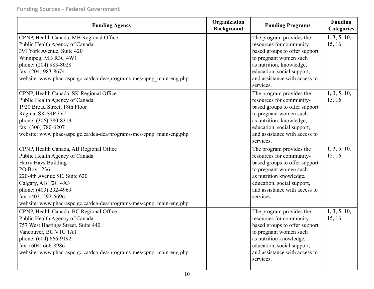| <b>Funding Agency</b>                                               | Organization<br><b>Background</b> | <b>Funding Programs</b>       | <b>Funding</b><br><b>Categories</b> |
|---------------------------------------------------------------------|-----------------------------------|-------------------------------|-------------------------------------|
| CPNP, Health Canada, MB Regional Office                             |                                   | The program provides the      | 1, 3, 5, 10,                        |
| Public Health Agency of Canada                                      |                                   | resources for community-      | 15, 16                              |
| 391 York Avenue, Suite 420                                          |                                   | based groups to offer support |                                     |
| Winnipeg, MB R3C 4W1                                                |                                   | to pregnant women such        |                                     |
| phone: (204) 983-8028                                               |                                   | as nutrition, knowledge,      |                                     |
| fax: (204) 983-8674                                                 |                                   | education, social support,    |                                     |
| website: www.phac-aspc.gc.ca/dca-dea/programs-mes/cpnp_main-eng.php |                                   | and assistance with access to |                                     |
|                                                                     |                                   | services.                     |                                     |
| CPNP, Health Canada, SK Regional Office                             |                                   | The program provides the      | 1, 3, 5, 10,                        |
| Public Health Agency of Canada                                      |                                   | resources for community-      | 15, 16                              |
| 1920 Broad Street, 18th Floor                                       |                                   | based groups to offer support |                                     |
| Regina, SK S4P 3V2                                                  |                                   | to pregnant women such        |                                     |
| phone: (306) 780-8313                                               |                                   | as nutrition, knowledge,      |                                     |
| fax: (306) 780-6207                                                 |                                   | education, social support,    |                                     |
| website: www.phac-aspc.gc.ca/dca-dea/programs-mes/cpnp_main-eng.php |                                   | and assistance with access to |                                     |
|                                                                     |                                   | services.                     |                                     |
| CPNP, Health Canada, AB Regional Office                             |                                   | The program provides the      | 1, 3, 5, 10,                        |
| Public Health Agency of Canada                                      |                                   | resources for community-      | 15, 16                              |
| Harry Hays Building                                                 |                                   | based groups to offer support |                                     |
| PO Box 1236                                                         |                                   | to pregnant women such        |                                     |
| 220-4th Avenue SE, Suite 620                                        |                                   | as nutrition knowledge,       |                                     |
| Calgary, AB T2G 4X3                                                 |                                   | education, social support,    |                                     |
| phone: (403) 292-4969                                               |                                   | and assistance with access to |                                     |
| fax: (403) 292-6696                                                 |                                   | services.                     |                                     |
| website: www.phac-aspc.gc.ca/dca-dea/programs-mes/cpnp_main-eng.php |                                   |                               |                                     |
| CPNP, Health Canada, BC Regional Office                             |                                   | The program provides the      | 1, 3, 5, 10,                        |
| Public Health Agency of Canada                                      |                                   | resources for community-      | 15, 16                              |
| 757 West Hastings Street, Suite 440                                 |                                   | based groups to offer support |                                     |
| Vancouver, BC V1C 1A1                                               |                                   | to pregnant women such        |                                     |
| phone: (604) 666-9192                                               |                                   | as nutrition knowledge,       |                                     |
| fax: (604) 666-8986                                                 |                                   | education, social support,    |                                     |
| website: www.phac-aspc.gc.ca/dca-dea/programs-mes/cpnp_main-eng.php |                                   | and assistance with access to |                                     |
|                                                                     |                                   | services.                     |                                     |
|                                                                     |                                   |                               |                                     |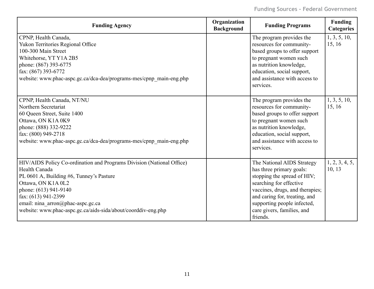| <b>Funding Agency</b>                                                                                                                                                                                                                                                                                          | Organization<br><b>Background</b> | <b>Funding Programs</b>                                                                                                                                                                                                                                       | <b>Funding</b><br><b>Categories</b> |
|----------------------------------------------------------------------------------------------------------------------------------------------------------------------------------------------------------------------------------------------------------------------------------------------------------------|-----------------------------------|---------------------------------------------------------------------------------------------------------------------------------------------------------------------------------------------------------------------------------------------------------------|-------------------------------------|
| CPNP, Health Canada,<br>Yukon Territories Regional Office<br>100-300 Main Street<br>Whitehorse, YT Y1A 2B5<br>phone: (867) 393-6775<br>fax: (867) 393-6772<br>website: www.phac-aspc.gc.ca/dca-dea/programs-mes/cpnp_main-eng.php                                                                              |                                   | The program provides the<br>resources for community-<br>based groups to offer support<br>to pregnant women such<br>as nutrition knowledge,<br>education, social support,<br>and assistance with access to<br>services.                                        | 1, 3, 5, 10,<br>15, 16              |
| CPNP, Health Canada, NT/NU<br>Northern Secretariat<br>60 Queen Street, Suite 1400<br>Ottawa, ON K1A 0K9<br>phone: (888) 332-9222<br>fax: (800) 949-2718<br>website: www.phac-aspc.gc.ca/dca-dea/programs-mes/cpnp_main-eng.php                                                                                 |                                   | The program provides the<br>resources for community-<br>based groups to offer support<br>to pregnant women such<br>as nutrition knowledge,<br>education, social support,<br>and assistance with access to<br>services.                                        | 1, 3, 5, 10,<br>15, 16              |
| HIV/AIDS Policy Co-ordination and Programs Division (National Office)<br>Health Canada<br>PL 0601 A, Building #6, Tunney's Pasture<br>Ottawa, ON K1A 0L2<br>phone: (613) 941-9140<br>fax: (613) 941-2399<br>email: nina_arron@phac-aspc.gc.ca<br>website: www.phac-aspc.gc.ca/aids-sida/about/coorddiv-eng.php |                                   | The National AIDS Strategy<br>has three primary goals:<br>stopping the spread of HIV;<br>searching for effective<br>vaccines, drugs, and therapies;<br>and caring for, treating, and<br>supporting people infected,<br>care givers, families, and<br>friends. | 1, 2, 3, 4, 5,<br>10, 13            |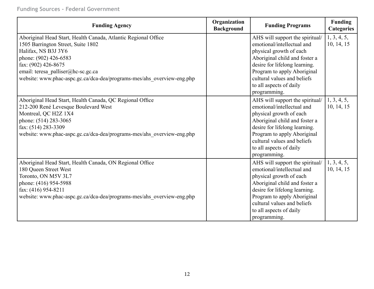| <b>Funding Agency</b>                                                                                                                                                                                                                                                                       | Organization<br><b>Background</b> | <b>Funding Programs</b>                                                                                                                                                                                                                                             | <b>Funding</b><br><b>Categories</b> |
|---------------------------------------------------------------------------------------------------------------------------------------------------------------------------------------------------------------------------------------------------------------------------------------------|-----------------------------------|---------------------------------------------------------------------------------------------------------------------------------------------------------------------------------------------------------------------------------------------------------------------|-------------------------------------|
| Aboriginal Head Start, Health Canada, Atlantic Regional Office<br>1505 Barrington Street, Suite 1802<br>Halifax, NS B3J 3Y6<br>phone: (902) 426-6583<br>fax: (902) 426-8675<br>email: teresa_palliser@hc-sc.gc.ca<br>website: www.phac-aspc.gc.ca/dca-dea/programs-mes/ahs overview-eng.php |                                   | AHS will support the spiritual/<br>emotional/intellectual and<br>physical growth of each<br>Aboriginal child and foster a<br>desire for lifelong learning.<br>Program to apply Aboriginal<br>cultural values and beliefs<br>to all aspects of daily<br>programming. | 1, 3, 4, 5,<br>10, 14, 15           |
| Aboriginal Head Start, Health Canada, QC Regional Office<br>212-200 René Levesque Boulevard West<br>Montreal, QC H2Z 1X4<br>phone: (514) 283-3065<br>fax: (514) 283-3309<br>website: www.phac-aspc.gc.ca/dca-dea/programs-mes/ahs overview-eng.php                                          |                                   | AHS will support the spiritual/<br>emotional/intellectual and<br>physical growth of each<br>Aboriginal child and foster a<br>desire for lifelong learning.<br>Program to apply Aboriginal<br>cultural values and beliefs<br>to all aspects of daily<br>programming. | 1, 3, 4, 5,<br>10, 14, 15           |
| Aboriginal Head Start, Health Canada, ON Regional Office<br>180 Queen Street West<br>Toronto, ON M5V 3L7<br>phone: (416) 954-5988<br>fax: (416) 954-8211<br>website: www.phac-aspc.gc.ca/dca-dea/programs-mes/ahs_overview-eng.php                                                          |                                   | AHS will support the spiritual/<br>emotional/intellectual and<br>physical growth of each<br>Aboriginal child and foster a<br>desire for lifelong learning.<br>Program to apply Aboriginal<br>cultural values and beliefs<br>to all aspects of daily<br>programming. | 1, 3, 4, 5,<br>10, 14, 15           |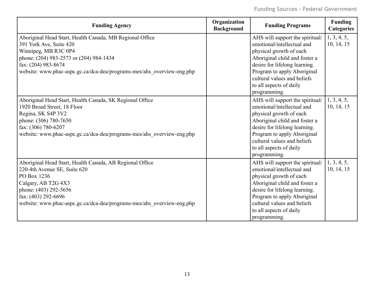| <b>Funding Agency</b>                                                                                                                                                                                                                                      | Organization<br><b>Background</b> | <b>Funding Programs</b>                                                                                                                                                                                                                                             | Funding<br><b>Categories</b> |
|------------------------------------------------------------------------------------------------------------------------------------------------------------------------------------------------------------------------------------------------------------|-----------------------------------|---------------------------------------------------------------------------------------------------------------------------------------------------------------------------------------------------------------------------------------------------------------------|------------------------------|
| Aboriginal Head Start, Health Canada, MB Regional Office<br>391 York Ave, Suite 420<br>Winnipeg, MB R3C 0P4<br>phone: (204) 983-2573 or (204) 984-1434<br>fax: $(204)$ 983-8674<br>website: www.phac-aspc.gc.ca/dca-dea/programs-mes/ahs_overview-eng.php  |                                   | AHS will support the spiritual/<br>emotional/intellectual and<br>physical growth of each<br>Aboriginal child and foster a<br>desire for lifelong learning.<br>Program to apply Aboriginal<br>cultural values and beliefs<br>to all aspects of daily<br>programming. | 1, 3, 4, 5,<br>10, 14, 15    |
| Aboriginal Head Start, Health Canada, SK Regional Office<br>1920 Broad Street, 18 Floor<br>Regina, SK S4P 3V2<br>phone: (306) 780-7650<br>fax: (306) 780-6207<br>website: www.phac-aspc.gc.ca/dca-dea/programs-mes/ahs_overview-eng.php                    |                                   | AHS will support the spiritual/<br>emotional/intellectual and<br>physical growth of each<br>Aboriginal child and foster a<br>desire for lifelong learning.<br>Program to apply Aboriginal<br>cultural values and beliefs<br>to all aspects of daily<br>programming. | 1, 3, 4, 5,<br>10, 14, 15    |
| Aboriginal Head Start, Health Canada, AB Regional Office<br>220-4th Avenue SE, Suite 620<br>PO Box 1236<br>Calgary, AB T2G 4X3<br>phone: (403) 292-5656<br>fax: $(403)$ 292-6696<br>website: www.phac-aspc.gc.ca/dca-dea/programs-mes/ahs_overview-eng.php |                                   | AHS will support the spiritual/<br>emotional/intellectual and<br>physical growth of each<br>Aboriginal child and foster a<br>desire for lifelong learning.<br>Program to apply Aboriginal<br>cultural values and beliefs<br>to all aspects of daily<br>programming. | 1, 3, 4, 5,<br>10, 14, 15    |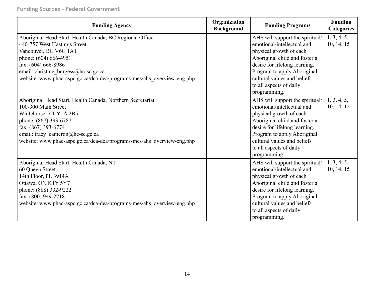| <b>Funding Agency</b>                                                                                                                                                                                                                                                               | Organization<br><b>Background</b> | <b>Funding Programs</b>                                                                                                                                                                                                                                             | <b>Funding</b><br><b>Categories</b> |
|-------------------------------------------------------------------------------------------------------------------------------------------------------------------------------------------------------------------------------------------------------------------------------------|-----------------------------------|---------------------------------------------------------------------------------------------------------------------------------------------------------------------------------------------------------------------------------------------------------------------|-------------------------------------|
| Aboriginal Head Start, Health Canada, BC Regional Office<br>440-757 West Hastings Street<br>Vancouver, BC V6C 1A1<br>phone: (604) 666-4951<br>fax: (604) 666-8986<br>email: christine burgess@hc-sc.gc.ca<br>website: www.phac-aspc.gc.ca/dca-dea/programs-mes/ahs overview-eng.php |                                   | AHS will support the spiritual/<br>emotional/intellectual and<br>physical growth of each<br>Aboriginal child and foster a<br>desire for lifelong learning.<br>Program to apply Aboriginal<br>cultural values and beliefs<br>to all aspects of daily<br>programming. | 1, 3, 4, 5,<br>10, 14, 15           |
| Aboriginal Head Start, Health Canada, Northern Secretariat<br>100-300 Main Street<br>Whitehorse, YT Y1A 2B5<br>phone: (867) 393-6787<br>fax: (867) 393-6774<br>email: tracy cameron@hc-sc.gc.ca<br>website: www.phac-aspc.gc.ca/dca-dea/programs-mes/ahs overview-eng.php           |                                   | AHS will support the spiritual/<br>emotional/intellectual and<br>physical growth of each<br>Aboriginal child and foster a<br>desire for lifelong learning.<br>Program to apply Aboriginal<br>cultural values and beliefs<br>to all aspects of daily<br>programming. | 1, 3, 4, 5,<br>10, 14, 15           |
| Aboriginal Head Start, Health Canada, NT<br>60 Queen Street<br>14th Floor, PL 3914A<br>Ottawa, ON K1Y 5Y7<br>phone: (888) 332-9222<br>fax: (800) 949-2718<br>website: www.phac-aspc.gc.ca/dca-dea/programs-mes/ahs_overview-eng.php                                                 |                                   | AHS will support the spiritual/<br>emotional/intellectual and<br>physical growth of each<br>Aboriginal child and foster a<br>desire for lifelong learning.<br>Program to apply Aboriginal<br>cultural values and beliefs<br>to all aspects of daily<br>programming. | 1, 3, 4, 5,<br>10, 14, 15           |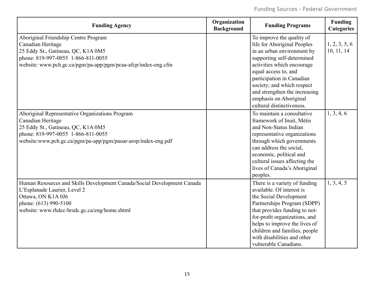| <b>Funding Agency</b>                                                                                                                                                                                             | Organization<br><b>Background</b> | <b>Funding Programs</b>                                                                                                                                                                                                                                                                                                       | Funding<br><b>Categories</b> |
|-------------------------------------------------------------------------------------------------------------------------------------------------------------------------------------------------------------------|-----------------------------------|-------------------------------------------------------------------------------------------------------------------------------------------------------------------------------------------------------------------------------------------------------------------------------------------------------------------------------|------------------------------|
| Aboriginal Friendship Centre Program<br>Canadian Heritage<br>25 Eddy St., Gatineau, QC, K1A 0M5<br>phone: 819-997-0055 1-866-811-0055<br>website: www.pch.gc.ca/pgm/pa-app/pgm/pcaa-afcp/index-eng.cfm            |                                   | To improve the quality of<br>life for Aboriginal Peoples<br>in an urban environment by<br>supporting self-determined<br>activities which encourage<br>equal access to, and<br>participation in Canadian<br>society; and which respect<br>and strengthen the increasing<br>emphasis on Aboriginal<br>cultural distinctiveness. | 1, 2, 3, 5, 6<br>10, 11, 14  |
| Aboriginal Representative Organizations Program<br>Canadian Heritage<br>25 Eddy St., Gatineau, QC, K1A 0M5<br>phone: 819-997-0055 1-866-811-0055<br>website:www.pch.gc.ca/pgm/pa-app/pgm/paoar-arop/index-eng.pdf |                                   | To maintain a consultative<br>framework of Inuit, Métis<br>and Non-Status Indian<br>representative organizations<br>through which governments<br>can address the social,<br>economic, political and<br>cultural issues affecting the<br>lives of Canada's Aboriginal<br>peoples.                                              | 1, 3, 4, 6                   |
| Human Resources and Skills Development Canada/Social Development Canada<br>L'Esplanade Laurier, Level 2<br>Ottawa, ON K1A 0J6<br>phone: (613) 990-5100<br>website: www.rhdcc-hrsdc.gc.ca/eng/home.shtml           |                                   | There is a variety of funding<br>available. Of interest is<br>the Social Development<br>Partnerships Program (SDPP)<br>that provides funding to not-<br>for-profit organizations, and<br>helps to improve the lives of<br>children and families, people<br>with disabilities and other<br>vulnerable Canadians.               | 1, 3, 4, 5                   |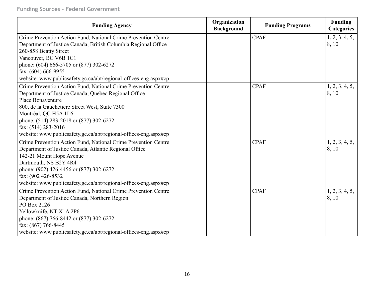| <b>Funding Agency</b>                                            | Organization<br><b>Background</b> | <b>Funding Programs</b> | Funding<br><b>Categories</b> |
|------------------------------------------------------------------|-----------------------------------|-------------------------|------------------------------|
| Crime Prevention Action Fund, National Crime Prevention Centre   |                                   | <b>CPAF</b>             | 1, 2, 3, 4, 5,               |
| Department of Justice Canada, British Columbia Regional Office   |                                   |                         | 8,10                         |
| 260-858 Beatty Street                                            |                                   |                         |                              |
| Vancouver, BC V6B 1C1                                            |                                   |                         |                              |
| phone: (604) 666-5705 or (877) 302-6272                          |                                   |                         |                              |
| fax: (604) 666-9955                                              |                                   |                         |                              |
| website: www.publicsafety.gc.ca/abt/regional-offices-eng.aspx#cp |                                   |                         |                              |
| Crime Prevention Action Fund, National Crime Prevention Centre   |                                   | <b>CPAF</b>             | 1, 2, 3, 4, 5,               |
| Department of Justice Canada, Quebec Regional Office             |                                   |                         | 8, 10                        |
| <b>Place Bonaventure</b>                                         |                                   |                         |                              |
| 800, de la Gauchetiere Street West, Suite 7300                   |                                   |                         |                              |
| Montréal, QC H5A 1L6                                             |                                   |                         |                              |
| phone: (514) 283-2018 or (877) 302-6272                          |                                   |                         |                              |
| fax: (514) 283-2016                                              |                                   |                         |                              |
| website: www.publicsafety.gc.ca/abt/regional-offices-eng.aspx#cp |                                   |                         |                              |
| Crime Prevention Action Fund, National Crime Prevention Centre   |                                   | <b>CPAF</b>             | 1, 2, 3, 4, 5,               |
| Department of Justice Canada, Atlantic Regional Office           |                                   |                         | 8, 10                        |
| 142-21 Mount Hope Avenue                                         |                                   |                         |                              |
| Dartmouth, NS B2Y 4R4                                            |                                   |                         |                              |
| phone: (902) 426-4456 or (877) 302-6272                          |                                   |                         |                              |
| fax: (902 426-8532)                                              |                                   |                         |                              |
| website: www.publicsafety.gc.ca/abt/regional-offices-eng.aspx#cp |                                   |                         |                              |
| Crime Prevention Action Fund, National Crime Prevention Centre   |                                   | <b>CPAF</b>             | 1, 2, 3, 4, 5,               |
| Department of Justice Canada, Northern Region                    |                                   |                         | 8, 10                        |
| PO Box 2126                                                      |                                   |                         |                              |
| Yellowknife, NT X1A 2P6                                          |                                   |                         |                              |
| phone: (867) 766-8442 or (877) 302-6272                          |                                   |                         |                              |
| fax: (867) 766-8445                                              |                                   |                         |                              |
| website: www.publicsafety.gc.ca/abt/regional-offices-eng.aspx#cp |                                   |                         |                              |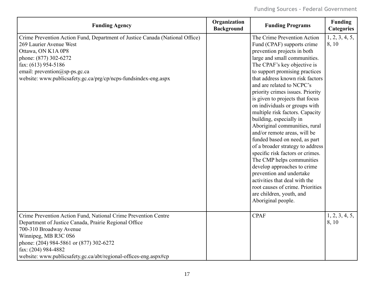| <b>Funding Agency</b>                                                                                                                                                                                                                                                                                            | Organization<br><b>Background</b> | <b>Funding Programs</b>                                                                                                                                                                                                                                                                                                                                                                                                                                                                                                                                                                                                                                                                                                                                                                                                  | <b>Funding</b><br><b>Categories</b> |
|------------------------------------------------------------------------------------------------------------------------------------------------------------------------------------------------------------------------------------------------------------------------------------------------------------------|-----------------------------------|--------------------------------------------------------------------------------------------------------------------------------------------------------------------------------------------------------------------------------------------------------------------------------------------------------------------------------------------------------------------------------------------------------------------------------------------------------------------------------------------------------------------------------------------------------------------------------------------------------------------------------------------------------------------------------------------------------------------------------------------------------------------------------------------------------------------------|-------------------------------------|
| Crime Prevention Action Fund, Department of Justice Canada (National Office)<br>269 Laurier Avenue West<br>Ottawa, ON K1A 0P8<br>phone: (877) 302-6272<br>fax: (613) 954-5186<br>email: prevention@sp-ps.gc.ca<br>website: www.publicsafety.gc.ca/prg/cp/ncps-fundsindex-eng.aspx                                |                                   | The Crime Prevention Action<br>Fund (CPAF) supports crime<br>prevention projects in both<br>large and small communities.<br>The CPAF's key objective is<br>to support promising practices<br>that address known risk factors<br>and are related to NCPC's<br>priority crimes issues. Priority<br>is given to projects that focus<br>on individuals or groups with<br>multiple risk factors. Capacity<br>building, especially in<br>Aboriginal communities, rural<br>and/or remote areas, will be<br>funded based on need, as part<br>of a broader strategy to address<br>specific risk factors or crimes.<br>The CMP helps communities<br>develop approaches to crime<br>prevention and undertake<br>activities that deal with the<br>root causes of crime. Priorities<br>are children, youth, and<br>Aboriginal people. | 1, 2, 3, 4, 5,<br>8,10              |
| Crime Prevention Action Fund, National Crime Prevention Centre<br>Department of Justice Canada, Prairie Regional Office<br>700-310 Broadway Avenue<br>Winnipeg, MB R3C 0S6<br>phone: (204) 984-5861 or (877) 302-6272<br>fax: (204) 984-4882<br>website: www.publicsafety.gc.ca/abt/regional-offices-eng.aspx#cp |                                   | <b>CPAF</b>                                                                                                                                                                                                                                                                                                                                                                                                                                                                                                                                                                                                                                                                                                                                                                                                              | 1, 2, 3, 4, 5,<br>8, 10             |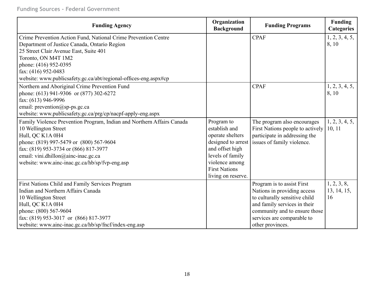| <b>Funding Agency</b>                                                  | Organization<br><b>Background</b> | <b>Funding Programs</b>          | <b>Funding</b><br><b>Categories</b> |
|------------------------------------------------------------------------|-----------------------------------|----------------------------------|-------------------------------------|
| Crime Prevention Action Fund, National Crime Prevention Centre         |                                   | <b>CPAF</b>                      | 1, 2, 3, 4, 5,                      |
| Department of Justice Canada, Ontario Region                           |                                   |                                  | 8, 10                               |
| 25 Street Clair Avenue East, Suite 401                                 |                                   |                                  |                                     |
| Toronto, ON M4T 1M2                                                    |                                   |                                  |                                     |
| phone: (416) 952-0395                                                  |                                   |                                  |                                     |
| fax: (416) 952-0483                                                    |                                   |                                  |                                     |
| website: www.publicsafety.gc.ca/abt/regional-offices-eng.aspx#cp       |                                   |                                  |                                     |
| Northern and Aboriginal Crime Prevention Fund                          |                                   | <b>CPAF</b>                      | 1, 2, 3, 4, 5,                      |
| phone: (613) 941-9306 or (877) 302-6272                                |                                   |                                  | 8, 10                               |
| fax: (613) 946-9996                                                    |                                   |                                  |                                     |
| email: prevention@sp-ps.gc.ca                                          |                                   |                                  |                                     |
| website: www.publicsafety.gc.ca/prg/cp/nacpf-apply-eng.aspx            |                                   |                                  |                                     |
| Family Violence Prevention Program, Indian and Northern Affairs Canada | Program to                        | The program also encourages      | 1, 2, 3, 4, 5,                      |
| 10 Wellington Street                                                   | establish and                     | First Nations people to actively | 10, 11                              |
| Hull, QC K1A 0H4                                                       | operate shelters                  | participate in addressing the    |                                     |
| phone: (819) 997-5479 or (800) 567-9604                                | designed to arrest                | issues of family violence.       |                                     |
| fax: (819) 953-3734 or (866) 817-3977                                  | and offset high                   |                                  |                                     |
| email: vini.dhillon@ainc-inac.gc.ca                                    | levels of family                  |                                  |                                     |
| website: www.ainc-inac.gc.ca/hb/sp/fvp-eng.asp                         | violence among                    |                                  |                                     |
|                                                                        | <b>First Nations</b>              |                                  |                                     |
|                                                                        | living on reserve.                |                                  |                                     |
| First Nations Child and Family Services Program                        |                                   | Program is to assist First       | 1, 2, 3, 8,                         |
| Indian and Northern Affairs Canada                                     |                                   | Nations in providing access      | 13, 14, 15,                         |
| 10 Wellington Street                                                   |                                   | to culturally sensitive child    | 16                                  |
| Hull, QC K1A 0H4                                                       |                                   | and family services in their     |                                     |
| phone: (800) 567-9604                                                  |                                   | community and to ensure those    |                                     |
| fax: (819) 953-3017 or (866) 817-3977                                  |                                   | services are comparable to       |                                     |
| website: www.ainc-inac.gc.ca/hb/sp/fncf/index-eng.asp                  |                                   | other provinces.                 |                                     |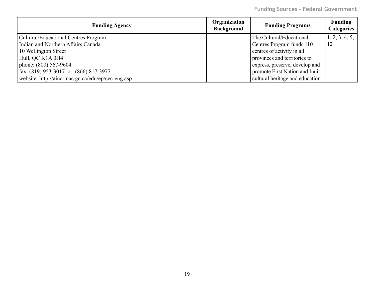**Funding Sources - Federal Government**

| <b>Funding Agency</b>                              | Organization<br><b>Background</b> | <b>Funding Programs</b>          | <b>Funding</b><br><b>Categories</b> |
|----------------------------------------------------|-----------------------------------|----------------------------------|-------------------------------------|
| Cultural/Educational Centres Program               |                                   | The Cultural/Educational         | 1, 2, 3, 4, 5,                      |
| Indian and Northern Affairs Canada                 |                                   | Centres Program funds 110        | 12                                  |
| 10 Wellington Street                               |                                   | eentres of activity in all       |                                     |
| Hull, QC K1A 0H4                                   |                                   | provinces and territories to     |                                     |
| phone: (800) 567-9604                              |                                   | express, preserve, develop and   |                                     |
| $\int$ fax: (819) 953-3017 or (866) 817-3977       |                                   | promote First Nation and Inuit   |                                     |
| website: http://ainc-inac.gc.ca/edu/ep/cec-eng.asp |                                   | cultural heritage and education. |                                     |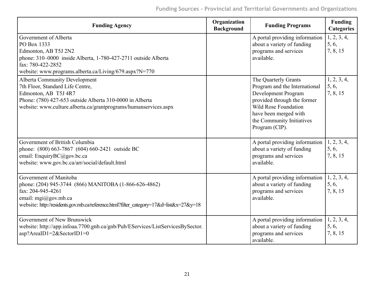| <b>Funding Agency</b>                                                                                                                                                                                                              | Organization<br><b>Background</b> | <b>Funding Programs</b>                                                                                                                                                                                     | Funding<br><b>Categories</b>     |
|------------------------------------------------------------------------------------------------------------------------------------------------------------------------------------------------------------------------------------|-----------------------------------|-------------------------------------------------------------------------------------------------------------------------------------------------------------------------------------------------------------|----------------------------------|
| Government of Alberta<br>PO Box 1333<br>Edmonton, AB T5J 2N2<br>phone: 310-0000 inside Alberta, 1-780-427-2711 outside Alberta<br>fax: 780-422-2852<br>website: www.programs.alberta.ca/Living/679.aspx?N=770                      |                                   | A portal providing information<br>about a variety of funding<br>programs and services<br>available.                                                                                                         | 1, 2, 3, 4,<br>5, 6,<br>7, 8, 15 |
| <b>Alberta Community Development</b><br>7th Floor, Standard Life Centre,<br>Edmonton, AB T5J 4R7<br>Phone: (780) 427-653 outside Alberta 310-0000 in Alberta<br>website: www.culture.alberta.ca/grantprograms/humanservices.aspx   |                                   | The Quarterly Grants<br>Program and the International<br>Development Program<br>provided through the former<br>Wild Rose Foundation<br>have been merged with<br>the Community Initiatives<br>Program (CIP). | 1, 2, 3, 4,<br>5, 6,<br>7, 8, 15 |
| Government of British Columbia<br>phone: (800) 663-7867 (604) 660-2421 outside BC<br>email: EnquiryBC@gov.bc.ca<br>website: www.gov.bc.ca/arr/social/default.html                                                                  |                                   | A portal providing information<br>about a variety of funding<br>programs and services<br>available.                                                                                                         | 1, 2, 3, 4,<br>5, 6,<br>7, 8, 15 |
| Government of Manitoba<br>phone: (204) 945-3744 (866) MANITOBA (1-866-626-4862)<br>fax: 204-945-4261<br>email: $mgi(\partial g$ ov.mb.ca<br>website: http://residents.gov.mb.ca/reference.html?filter category=17&d=list&x=27&y=18 |                                   | A portal providing information<br>about a variety of funding<br>programs and services<br>available.                                                                                                         | 1, 2, 3, 4,<br>5, 6,<br>7, 8, 15 |
| Government of New Brunswick<br>website: http://app.infoaa.7700.gnb.ca/gnb/Pub/EServices/ListServicesBySector.<br>asp?AreaID1=2&SectorID1=0                                                                                         |                                   | A portal providing information<br>about a variety of funding<br>programs and services<br>available.                                                                                                         | 1, 2, 3, 4,<br>5, 6,<br>7, 8, 15 |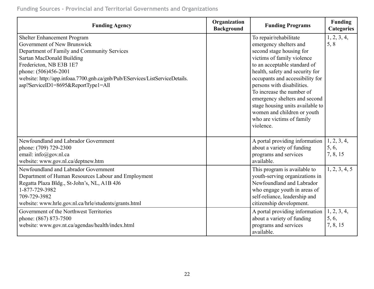## **Funding Sources - Provincial and Territorial Governments and Organizations**

| <b>Funding Agency</b>                                                                                                                                                                                                                                                                                            | Organization<br><b>Background</b> | <b>Funding Programs</b>                                                                                                                                                                                                                                                                                                                                                                                                   | <b>Funding</b><br><b>Categories</b> |
|------------------------------------------------------------------------------------------------------------------------------------------------------------------------------------------------------------------------------------------------------------------------------------------------------------------|-----------------------------------|---------------------------------------------------------------------------------------------------------------------------------------------------------------------------------------------------------------------------------------------------------------------------------------------------------------------------------------------------------------------------------------------------------------------------|-------------------------------------|
| Shelter Enhancement Program<br>Government of New Brunswick<br>Department of Family and Community Services<br>Sartan MacDonald Building<br>Fredericton, NB E3B 1E7<br>phone: (506)456-2001<br>website: http://app.infoaa.7700.gnb.ca/gnb/Pub/EServices/ListServiceDetails.<br>asp?ServiceID1=8695&ReportType1=All |                                   | To repair/rehabilitate<br>emergency shelters and<br>second stage housing for<br>victims of family violence<br>to an acceptable standard of<br>health, safety and security for<br>occupants and accessibility for<br>persons with disabilities.<br>To increase the number of<br>emergency shelters and second<br>stage housing units available to<br>women and children or youth<br>who are victims of family<br>violence. | 1, 2, 3, 4,<br>5, 8                 |
| Newfoundland and Labrador Government<br>phone: (709) 729-2300<br>email: info@gov.nl.ca<br>website: www.gov.nl.ca/deptnew.htm                                                                                                                                                                                     |                                   | A portal providing information<br>about a variety of funding<br>programs and services<br>available.                                                                                                                                                                                                                                                                                                                       | 1, 2, 3, 4,<br>5, 6,<br>7, 8, 15    |
| Newfoundland and Labrador Government<br>Department of Human Resources Labour and Employment<br>Regatta Plaza Bldg., St-John's, NL, A1B 4J6<br>1-877-729-3982<br>709-729-3982<br>website: www.hrle.gov.nl.ca/hrle/students/grants.html                                                                            |                                   | This program is available to<br>youth-serving organizations in<br>Newfoundland and Labrador<br>who engage youth in areas of<br>self-reliance, leadership and<br>citizenship development.                                                                                                                                                                                                                                  | 1, 2, 3, 4, 5                       |
| Government of the Northwest Territories<br>phone: (867) 873-7500<br>website: www.gov.nt.ca/agendas/health/index.html                                                                                                                                                                                             |                                   | A portal providing information<br>about a variety of funding<br>programs and services<br>available.                                                                                                                                                                                                                                                                                                                       | 1, 2, 3, 4,<br>5, 6,<br>7, 8, 15    |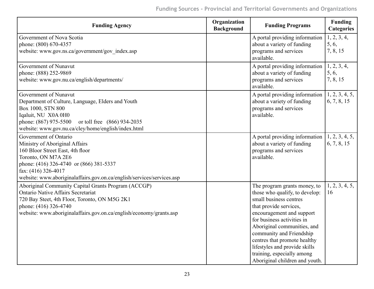| <b>Funding Agency</b>                                                                                                                                                                                                                                            | Organization<br><b>Background</b> | <b>Funding Programs</b>                                                                                                                                                                                                                                                                                                                                                   | <b>Funding</b><br><b>Categories</b> |
|------------------------------------------------------------------------------------------------------------------------------------------------------------------------------------------------------------------------------------------------------------------|-----------------------------------|---------------------------------------------------------------------------------------------------------------------------------------------------------------------------------------------------------------------------------------------------------------------------------------------------------------------------------------------------------------------------|-------------------------------------|
| Government of Nova Scotia<br>phone: (800) 670-4357<br>website: www.gov.ns.ca/government/gov_index.asp                                                                                                                                                            |                                   | A portal providing information<br>about a variety of funding<br>programs and services<br>available.                                                                                                                                                                                                                                                                       | 1, 2, 3, 4,<br>5, 6,<br>7, 8, 15    |
| Government of Nunavut<br>phone: (888) 252-9869<br>website: www.gov.nu.ca/english/departments/                                                                                                                                                                    |                                   | A portal providing information<br>about a variety of funding<br>programs and services<br>available.                                                                                                                                                                                                                                                                       | 1, 2, 3, 4,<br>5, 6,<br>7, 8, 15    |
| Government of Nunavut<br>Department of Culture, Language, Elders and Youth<br>Box 1000, STN 800<br>Iqaluit, NU X0A 0H0<br>phone: (867) 975-5500 or toll free (866) 934-2035<br>website: www.gov.nu.ca/cley/home/english/index.html                               |                                   | A portal providing information<br>about a variety of funding<br>programs and services<br>available.                                                                                                                                                                                                                                                                       | 1, 2, 3, 4, 5,<br>6, 7, 8, 15       |
| Government of Ontario<br>Ministry of Aboriginal Affairs<br>160 Bloor Street East, 4th floor<br>Toronto, ON M7A 2E6<br>phone: (416) 326-4740 or (866) 381-5337<br>fax: $(416)$ 326-4017<br>website: www.aboriginalaffairs.gov.on.ca/english/services/services.asp |                                   | A portal providing information<br>about a variety of funding<br>programs and services<br>available.                                                                                                                                                                                                                                                                       | 1, 2, 3, 4, 5,<br>6, 7, 8, 15       |
| Aboriginal Community Capital Grants Program (ACCGP)<br><b>Ontario Native Affairs Secretariat</b><br>720 Bay Steet, 4th Floor, Toronto, ON M5G 2K1<br>phone: (416) 326-4740<br>website: www.aboriginalaffairs.gov.on.ca/english/economy/grants.asp                |                                   | The program grants money, to<br>those who qualify, to develop:<br>small business centres<br>that provide services,<br>encouragement and support<br>for business activities in<br>Aboriginal communities, and<br>community and Friendship<br>centres that promote healthy<br>lifestyles and provide skills<br>training, especially among<br>Aboriginal children and youth. | 1, 2, 3, 4, 5,<br>16                |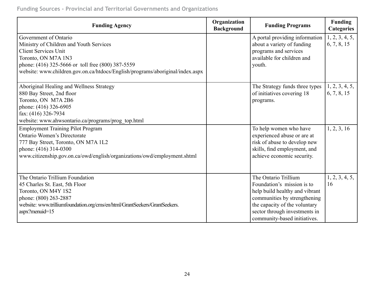### **Funding Sources - Provincial and Territorial Governments and Organizations**

| <b>Funding Agency</b>                                                                                                                                                                                                                                        | Organization<br><b>Background</b> | <b>Funding Programs</b>                                                                                                                                                                                                | <b>Funding</b><br><b>Categories</b> |
|--------------------------------------------------------------------------------------------------------------------------------------------------------------------------------------------------------------------------------------------------------------|-----------------------------------|------------------------------------------------------------------------------------------------------------------------------------------------------------------------------------------------------------------------|-------------------------------------|
| Government of Ontario<br>Ministry of Children and Youth Services<br><b>Client Services Unit</b><br>Toronto, ON M7A 1N3<br>phone: (416) 325-5666 or toll free (800) 387-5559<br>website: www.children.gov.on.ca/htdocs/English/programs/aboriginal/index.aspx |                                   | A portal providing information<br>about a variety of funding<br>programs and services<br>available for children and<br>youth.                                                                                          | 1, 2, 3, 4, 5,<br>6, 7, 8, 15       |
| Aboriginal Healing and Wellness Strategy<br>880 Bay Street, 2nd floor<br>Toronto, ON M7A 2B6<br>phone: (416) 326-6905<br>fax: $(416)$ 326-7934<br>website: www.ahwsontario.ca/programs/prog_top.html                                                         |                                   | The Strategy funds three types<br>of initiatives covering 18<br>programs.                                                                                                                                              | 1, 2, 3, 4, 5,<br>6, 7, 8, 15       |
| <b>Employment Training Pilot Program</b><br><b>Ontario Women's Directorate</b><br>777 Bay Street, Toronto, ON M7A 1L2<br>phone: (416) 314-0300<br>www.citizenship.gov.on.ca/owd/english/organizations/owd/employment.shtml                                   |                                   | To help women who have<br>experienced abuse or are at<br>risk of abuse to develop new<br>skills, find employment, and<br>achieve economic security.                                                                    | 1, 2, 3, 16                         |
| The Ontario Trillium Foundation<br>45 Charles St. East, 5th Floor<br>Toronto, ON M4Y 1S2<br>phone: (800) 263-2887<br>website: www.trilliumfoundation.org/cms/en/html/GrantSeekers/GrantSeekers.<br>aspx?menuid=15                                            |                                   | The Ontario Trillium<br>Foundation's mission is to<br>help build healthy and vibrant<br>communities by strengthening<br>the capacity of the voluntary<br>sector through investments in<br>community-based initiatives. | 1, 2, 3, 4, 5,<br>16                |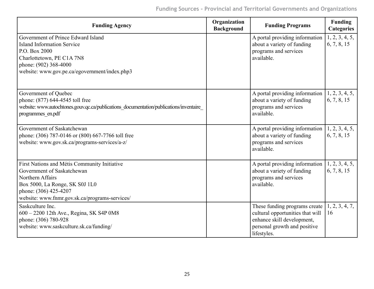| <b>Funding Agency</b>                                                                                                                                                                                       | Organization<br><b>Background</b> | <b>Funding Programs</b>                                                                                                                        | <b>Funding</b><br><b>Categories</b> |
|-------------------------------------------------------------------------------------------------------------------------------------------------------------------------------------------------------------|-----------------------------------|------------------------------------------------------------------------------------------------------------------------------------------------|-------------------------------------|
| Government of Prince Edward Island<br><b>Island Information Service</b><br>P.O. Box 2000                                                                                                                    |                                   | A portal providing information<br>about a variety of funding<br>programs and services                                                          | 1, 2, 3, 4, 5,<br>6, 7, 8, 15       |
| Charlottetown, PE C1A 7N8<br>phone: (902) 368-4000<br>website: www.gov.pe.ca/egovernment/index.php3                                                                                                         |                                   | available.                                                                                                                                     |                                     |
| Government of Quebec<br>phone: (877) 644-4545 toll free<br>website: www.autochtones.gouv.qc.ca/publications_documentation/publications/inventaire_<br>programmes en.pdf                                     |                                   | A portal providing information<br>about a variety of funding<br>programs and services<br>available.                                            | 1, 2, 3, 4, 5,<br>6, 7, 8, 15       |
| Government of Saskatchewan<br>phone: (306) 787-0146 or (800) 667-7766 toll free<br>website: www.gov.sk.ca/programs-services/a-z/                                                                            |                                   | A portal providing information<br>about a variety of funding<br>programs and services<br>available.                                            | 1, 2, 3, 4, 5,<br>6, 7, 8, 15       |
| First Nations and Métis Community Initiative<br>Government of Saskatchewan<br>Northern Affairs<br>Box 5000, La Ronge, SK S0J 1L0<br>phone: (306) 425-4207<br>website: www.fnmr.gov.sk.ca/programs-services/ |                                   | A portal providing information<br>about a variety of funding<br>programs and services<br>available.                                            | 1, 2, 3, 4, 5,<br>6, 7, 8, 15       |
| Saskculture Inc.<br>600 - 2200 12th Ave., Regina, SK S4P 0M8<br>phone: (306) 780-928<br>website: www.saskculture.sk.ca/funding/                                                                             |                                   | These funding programs create<br>cultural opportunities that will<br>enhance skill development,<br>personal growth and positive<br>lifestyles. | 1, 2, 3, 4, 7,<br>16                |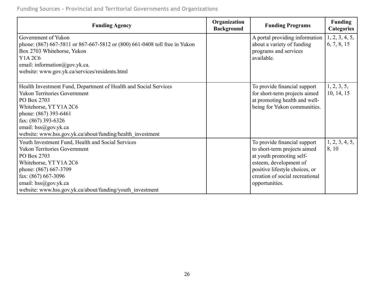**Funding Sources - Provincial and Territorial Governments and Organizations**

| <b>Funding Agency</b>                                                                                                                                                                                                                                                                  | Organization<br><b>Background</b> | <b>Funding Programs</b>                                                                                                                                                                                   | <b>Funding</b><br><b>Categories</b> |
|----------------------------------------------------------------------------------------------------------------------------------------------------------------------------------------------------------------------------------------------------------------------------------------|-----------------------------------|-----------------------------------------------------------------------------------------------------------------------------------------------------------------------------------------------------------|-------------------------------------|
| Government of Yukon<br>phone: (867) 667-5811 or 867-667-5812 or (800) 661-0408 toll free in Yukon<br>Box 2703 Whitehorse, Yukon<br>Y1A 2C6<br>email: information@gov.yk.ca.<br>website: www.gov.yk.ca/services/residents.html                                                          |                                   | A portal providing information<br>about a variety of funding<br>programs and services<br>available.                                                                                                       | 1, 2, 3, 4, 5,<br>6, 7, 8, 15       |
| Health Investment Fund, Department of Health and Social Services<br><b>Yukon Territories Government</b><br>PO Box 2703<br>Whitehorse, YT Y1A 2C6<br>phone: (867) 393-6461<br>fax: (867) 393-6326<br>email: hss@gov.yk.ca<br>website: www.hss.gov.yk.ca/about/funding/health investment |                                   | To provide financial support<br>for short-term projects aimed<br>at promoting health and well-<br>being for Yukon communities.                                                                            | 1, 2, 3, 5,<br>10, 14, 15           |
| Youth Investment Fund, Health and Social Services<br><b>Yukon Territories Government</b><br>PO Box 2703<br>Whitehorse, YT Y1A 2C6<br>phone: (867) 667-3709<br>fax: (867) 667-3096<br>email: $hss@gov.yk.ca$<br>website: www.hss.gov.yk.ca/about/funding/youth_investment               |                                   | To provide financial support<br>to short-term projects aimed<br>at youth promoting self-<br>esteem, development of<br>positive lifestyle choices, or<br>creation of social recreational<br>opportunities. | 1, 2, 3, 4, 5,<br>8, 10             |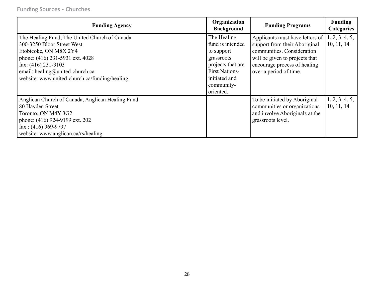| <b>Funding Agency</b>                                                                                                                                                                                                                                | Organization<br><b>Background</b>                                                                                                                     | <b>Funding Programs</b>                                                                                                                                                                                       | <b>Funding</b><br><b>Categories</b> |
|------------------------------------------------------------------------------------------------------------------------------------------------------------------------------------------------------------------------------------------------------|-------------------------------------------------------------------------------------------------------------------------------------------------------|---------------------------------------------------------------------------------------------------------------------------------------------------------------------------------------------------------------|-------------------------------------|
| The Healing Fund, The United Church of Canada<br>300-3250 Bloor Street West<br>Etobicoke, ON M8X 2Y4<br>phone: (416) 231-5931 ext. 4028<br>fax: $(416)$ 231-3103<br>email: healing@united-church.ca<br>website: www.united-church.ca/funding/healing | The Healing<br>fund is intended<br>to support<br>grassroots<br>projects that are<br><b>First Nations-</b><br>initiated and<br>community-<br>oriented. | Applicants must have letters of $  1, 2, 3, 4, 5,$<br>support from their Aboriginal<br>communities. Consideration<br>will be given to projects that<br>encourage process of healing<br>over a period of time. | 10, 11, 14                          |
| Anglican Church of Canada, Anglican Healing Fund<br>80 Hayden Street<br>Toronto, ON M4Y 3G2<br>phone: (416) 924-9199 ext. 202<br>fax: $(416)$ 969-9797<br>website: www.anglican.ca/rs/healing                                                        |                                                                                                                                                       | To be initiated by Aboriginal<br>communities or organizations<br>and involve Aboriginals at the<br>grassroots level.                                                                                          | 1, 2, 3, 4, 5,<br>10, 11, 14        |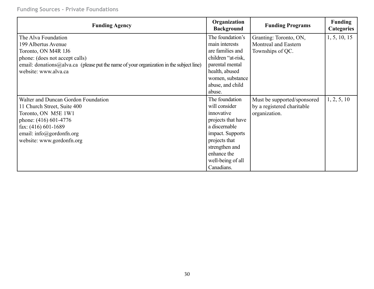### **Funding Sources - Private Foundations**

| <b>Funding Agency</b>                                                                   | Organization<br><b>Background</b> | <b>Funding Programs</b>     | <b>Funding</b><br><b>Categories</b> |
|-----------------------------------------------------------------------------------------|-----------------------------------|-----------------------------|-------------------------------------|
| The Alva Foundation                                                                     | The foundation's                  | Granting: Toronto, ON,      | 1, 5, 10, 15                        |
| 199 Albertus Avenue                                                                     | main interests                    | Montreal and Eastern        |                                     |
| Toronto, ON M4R 1J6                                                                     | are families and                  | Townships of QC.            |                                     |
| phone: (does not accept calls)                                                          | children "at-risk,                |                             |                                     |
| email: donations@alva.ca (please put the name of your organization in the subject line) | parental mental                   |                             |                                     |
| website: www.alva.ca                                                                    | health, abused                    |                             |                                     |
|                                                                                         | women, substance                  |                             |                                     |
|                                                                                         | abuse, and child                  |                             |                                     |
|                                                                                         | abuse.                            |                             |                                     |
| Walter and Duncan Gordon Foundation                                                     | The foundation                    | Must be supported/sponsored | 1, 2, 5, 10                         |
| 11 Church Street, Suite 400                                                             | will consider                     | by a registered charitable  |                                     |
| Toronto, ON M5E 1W1                                                                     | innovative                        | organization.               |                                     |
| phone: (416) 601-4776                                                                   | projects that have                |                             |                                     |
| fax: (416) 601-1689                                                                     | a discernable                     |                             |                                     |
| email: $info@gordonfn.org$                                                              | impact. Supports                  |                             |                                     |
| website: www.gordonfn.org                                                               | projects that                     |                             |                                     |
|                                                                                         | strengthen and                    |                             |                                     |
|                                                                                         | enhance the                       |                             |                                     |
|                                                                                         | well-being of all                 |                             |                                     |
|                                                                                         | Canadians.                        |                             |                                     |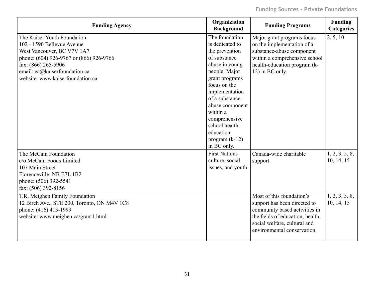| <b>Funding Agency</b>                                                                                                                                                                                                          | Organization<br><b>Background</b>                                                                                                                                                                                                                                                               | <b>Funding Programs</b>                                                                                                                                                                       | <b>Funding</b><br><b>Categories</b> |
|--------------------------------------------------------------------------------------------------------------------------------------------------------------------------------------------------------------------------------|-------------------------------------------------------------------------------------------------------------------------------------------------------------------------------------------------------------------------------------------------------------------------------------------------|-----------------------------------------------------------------------------------------------------------------------------------------------------------------------------------------------|-------------------------------------|
| The Kaiser Youth Foundation<br>102 - 1590 Bellevue Avenue<br>West Vancouver, BC V7V 1A7<br>phone: (604) 926-9767 or (866) 926-9766<br>fax: (866) 265-5906<br>email: ea@kaiserfoundation.ca<br>website: www.kaiserfoundation.ca | The foundation<br>is dedicated to<br>the prevention<br>of substance<br>abuse in young<br>people. Major<br>grant programs<br>focus on the<br>implementation<br>of a substance-<br>abuse component<br>within a<br>comprehensive<br>school health-<br>education<br>program $(k-12)$<br>in BC only. | Major grant programs focus<br>on the implementation of a<br>substance-abuse component<br>within a comprehensive school<br>health-education program (k-<br>12) in BC only.                     | 2, 5, 10                            |
| The McCain Foundation<br>c/o McCain Foods Limited<br>107 Main Street<br>Florenceville, NB E7L 1B2<br>phone: (506) 392-5541<br>fax: (506) 392-8156                                                                              | <b>First Nations</b><br>culture, social<br>issues, and youth.                                                                                                                                                                                                                                   | Canada-wide charitable<br>support.                                                                                                                                                            | 1, 2, 3, 5, 8,<br>10, 14, 15        |
| T.R. Meighen Family Foundation<br>12 Birch Ave., STE 200, Toronto, ON M4V 1C8<br>phone: (416) 413-1999<br>website: www.meighen.ca/grant1.html                                                                                  |                                                                                                                                                                                                                                                                                                 | Most of this foundation's<br>support has been directed to<br>community based activities in<br>the fields of education, health,<br>social welfare, cultural and<br>environmental conservation. | 1, 2, 3, 5, 8,<br>10, 14, 15        |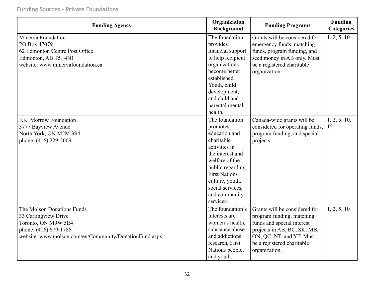### **Funding Sources - Private Foundations**

| <b>Funding Agency</b>                                                                                                                                        | Organization<br><b>Background</b>                                                                                                                                                                                                 | <b>Funding Programs</b>                                                                                                                                                                            | <b>Funding</b><br><b>Categories</b> |
|--------------------------------------------------------------------------------------------------------------------------------------------------------------|-----------------------------------------------------------------------------------------------------------------------------------------------------------------------------------------------------------------------------------|----------------------------------------------------------------------------------------------------------------------------------------------------------------------------------------------------|-------------------------------------|
| Minerva Foundation<br>PO Box 47079<br>62 Edmonton Centre Post Office<br>Edmonton, AB T5J 4N1<br>website: www.minervafoundation.ca                            | The foundation<br>provides<br>financial support<br>to help recipient<br>organizations<br>become better<br>established.<br>Youth, child<br>development,<br>and child and<br>parental mental                                        | Grants will be considered for<br>emergency funds, matching<br>funds, program funding, and<br>seed money in AB only. Must<br>be a registered charitable<br>organization.                            | 1, 2, 5, 10                         |
|                                                                                                                                                              | health.                                                                                                                                                                                                                           |                                                                                                                                                                                                    |                                     |
| F.K. Morrow Foundation<br>3777 Bayview Avenue<br>North York, ON M2M 3S4<br>phone: (416) 229-2009                                                             | The foundation<br>promotes<br>education and<br>charitable<br>activities in<br>the interest and<br>welfare of the<br>public regarding<br><b>First Nations</b><br>culture, youth,<br>social services,<br>and community<br>services. | Canada-wide grants will be<br>considered for operating funds,<br>program funding, and special<br>projects.                                                                                         | 1, 2, 5, 10,<br>15                  |
| The Molson Donations Funds<br>33 Carlingview Drive<br>Toronto, ON M9W 5E4<br>phone: (416) 679-1786<br>website: www.molson.com/en/Community/DonationFund.aspx | The foundation's<br>interests are<br>women's health,<br>substance abuse<br>and addictions<br>research, First<br>Nations people,<br>and youth.                                                                                     | Grants will be considered for<br>program funding, matching<br>funds and special interest<br>projects in AB, BC, SK, MB,<br>ON, QC, NT, and YT. Must<br>be a registered charitable<br>organization. | 1, 2, 5, 10                         |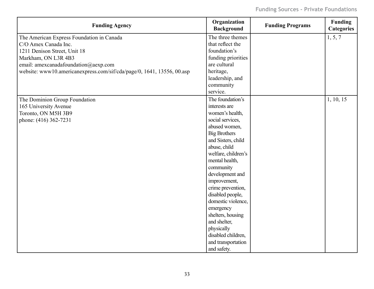| <b>Funding Agency</b>                                                  | Organization<br><b>Background</b> | <b>Funding Programs</b> | <b>Funding</b><br><b>Categories</b> |
|------------------------------------------------------------------------|-----------------------------------|-------------------------|-------------------------------------|
| The American Express Foundation in Canada                              | The three themes                  |                         | 1, 5, 7                             |
| C/O Amex Canada Inc.                                                   | that reflect the                  |                         |                                     |
| 1211 Denison Street, Unit 18                                           | foundation's                      |                         |                                     |
| Markham, ON L3R 4B3                                                    | funding priorities                |                         |                                     |
| email: amexcanadafoundation@aexp.com                                   | are cultural                      |                         |                                     |
| website: www10.americanexpress.com/sif/cda/page/0, 1641, 13556, 00.asp | heritage,                         |                         |                                     |
|                                                                        | leadership, and                   |                         |                                     |
|                                                                        | community                         |                         |                                     |
|                                                                        | service.                          |                         |                                     |
| The Dominion Group Foundation                                          | The foundation's                  |                         | 1, 10, 15                           |
| 165 University Avenue                                                  | interests are                     |                         |                                     |
| Toronto, ON M5H 3B9                                                    | women's health,                   |                         |                                     |
| phone: (416) 362-7231                                                  | social services,                  |                         |                                     |
|                                                                        | abused women,                     |                         |                                     |
|                                                                        | <b>Big Brothers</b>               |                         |                                     |
|                                                                        | and Sisters, child                |                         |                                     |
|                                                                        | abuse, child                      |                         |                                     |
|                                                                        | welfare, children's               |                         |                                     |
|                                                                        | mental health,                    |                         |                                     |
|                                                                        | community                         |                         |                                     |
|                                                                        | development and                   |                         |                                     |
|                                                                        | improvement,                      |                         |                                     |
|                                                                        | crime prevention,                 |                         |                                     |
|                                                                        | disabled people,                  |                         |                                     |
|                                                                        | domestic violence,                |                         |                                     |
|                                                                        | emergency                         |                         |                                     |
|                                                                        | shelters, housing                 |                         |                                     |
|                                                                        | and shelter,                      |                         |                                     |
|                                                                        | physically                        |                         |                                     |
|                                                                        | disabled children,                |                         |                                     |
|                                                                        | and transportation                |                         |                                     |
|                                                                        | and safety.                       |                         |                                     |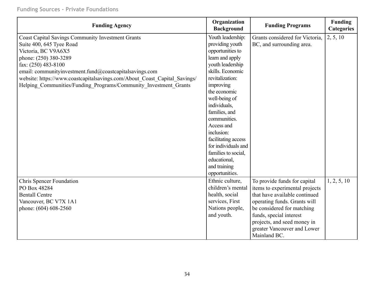| <b>Funding Agency</b>                                                     | Organization<br><b>Background</b> | <b>Funding Programs</b>         | Funding<br><b>Categories</b> |
|---------------------------------------------------------------------------|-----------------------------------|---------------------------------|------------------------------|
| <b>Coast Capital Savings Community Investment Grants</b>                  | Youth leadership:                 | Grants considered for Victoria, | 2, 5, 10                     |
| Suite 400, 645 Tyee Road                                                  | providing youth                   | BC, and surrounding area.       |                              |
| Victoria, BC V9A6X5                                                       | opportunities to                  |                                 |                              |
| phone: (250) 380-3289                                                     | learn and apply                   |                                 |                              |
| fax: (250) 483-8100                                                       | youth leadership                  |                                 |                              |
| email: communityinvestment.fund@coastcapitalsavings.com                   | skills. Economic                  |                                 |                              |
| website: https://www.coastcapitalsavings.com/About_Coast_Capital_Savings/ | revitalization:                   |                                 |                              |
| Helping Communities/Funding Programs/Community Investment Grants          | improving                         |                                 |                              |
|                                                                           | the economic                      |                                 |                              |
|                                                                           | well-being of                     |                                 |                              |
|                                                                           | individuals,                      |                                 |                              |
|                                                                           | families, and                     |                                 |                              |
|                                                                           | communities.                      |                                 |                              |
|                                                                           | Access and                        |                                 |                              |
|                                                                           | inclusion:                        |                                 |                              |
|                                                                           | facilitating access               |                                 |                              |
|                                                                           | for individuals and               |                                 |                              |
|                                                                           | families to social,               |                                 |                              |
|                                                                           | educational,                      |                                 |                              |
|                                                                           | and training                      |                                 |                              |
|                                                                           | opportunities.                    |                                 |                              |
| <b>Chris Spencer Foundation</b>                                           | Ethnic culture,                   | To provide funds for capital    | 1, 2, 5, 10                  |
| PO Box 48284                                                              | children's mental                 | items to experimental projects  |                              |
| <b>Bentall Centre</b>                                                     | health, social                    | that have available continued   |                              |
| Vancouver, BC V7X 1A1                                                     | services, First                   | operating funds. Grants will    |                              |
| phone: (604) 608-2560                                                     | Nations people,                   | be considered for matching      |                              |
|                                                                           | and youth.                        | funds, special interest         |                              |
|                                                                           |                                   | projects, and seed money in     |                              |
|                                                                           |                                   | greater Vancouver and Lower     |                              |
|                                                                           |                                   | Mainland BC.                    |                              |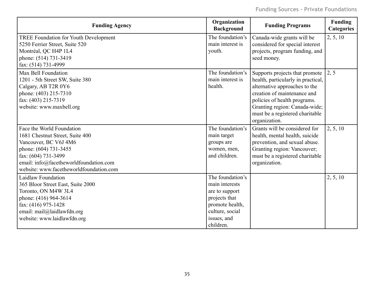| <b>Funding Agency</b>                                                             | Organization<br><b>Background</b> | <b>Funding Programs</b>            | <b>Funding</b><br><b>Categories</b> |
|-----------------------------------------------------------------------------------|-----------------------------------|------------------------------------|-------------------------------------|
| <b>TREE Foundation for Youth Development</b>                                      | The foundation's                  | Canada-wide grants will be         | 2, 5, 10                            |
| 5250 Ferrier Street, Suite 520                                                    | main interest is                  | considered for special interest    |                                     |
| Montréal, QC H4P 1L4                                                              | youth.                            | projects, program funding, and     |                                     |
| phone: (514) 731-3419                                                             |                                   | seed money.                        |                                     |
| fax: (514) 731-4999                                                               |                                   |                                    |                                     |
| Max Bell Foundation                                                               | The foundation's                  | Supports projects that promote     | 2, 5                                |
| 1201 - 5th Street SW, Suite 380                                                   | main interest is                  | health, particularly in practical, |                                     |
| Calgary, AB T2R 0Y6                                                               | health.                           | alternative approaches to the      |                                     |
| phone: (403) 215-7310                                                             |                                   | creation of maintenance and        |                                     |
| fax: (403) 215-7319                                                               |                                   | policies of health programs.       |                                     |
| website: www.maxbell.org                                                          |                                   | Granting region: Canada-wide;      |                                     |
|                                                                                   |                                   | must be a registered charitable    |                                     |
|                                                                                   |                                   | organization.                      |                                     |
| Face the World Foundation                                                         | The foundation's                  | Grants will be considered for      | 2, 5, 10                            |
| 1681 Chestnut Street, Suite 400                                                   | main target                       | health, mental health, suicide     |                                     |
| Vancouver, BC V6J 4M6                                                             | groups are                        | prevention, and sexual abuse.      |                                     |
| phone: (604) 731-3455                                                             | women, men,                       | Granting region: Vancouver;        |                                     |
| fax: (604) 731-3499                                                               | and children.                     | must be a registered charitable    |                                     |
| email: info@facetheworldfoundation.com<br>website: www.facetheworldfoundation.com |                                   | organization.                      |                                     |
|                                                                                   |                                   |                                    |                                     |
| <b>Laidlaw Foundation</b>                                                         | The foundation's                  |                                    | 2, 5, 10                            |
| 365 Bloor Street East, Suite 2000                                                 | main interests                    |                                    |                                     |
| Toronto, ON M4W 3L4                                                               | are to support                    |                                    |                                     |
| phone: (416) 964-3614                                                             | projects that                     |                                    |                                     |
| fax: (416) 975-1428                                                               | promote health,                   |                                    |                                     |
| email: mail@laidlawfdn.org                                                        | culture, social                   |                                    |                                     |
| website: www.laidlawfdn.org                                                       | issues, and                       |                                    |                                     |
|                                                                                   | children.                         |                                    |                                     |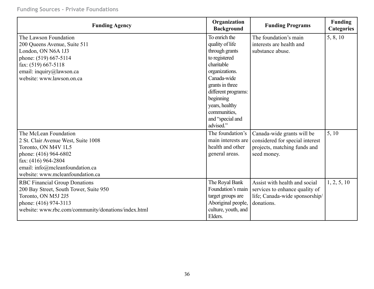| <b>Funding Agency</b>                               | Organization<br><b>Background</b> | <b>Funding Programs</b>                           | <b>Funding</b><br><b>Categories</b> |
|-----------------------------------------------------|-----------------------------------|---------------------------------------------------|-------------------------------------|
| The Lawson Foundation                               | To enrich the                     | The foundation's main<br>interests are health and | 5, 8, 10                            |
| 200 Queens Avenue, Suite 511                        | quality of life                   | substance abuse.                                  |                                     |
| London, ON N6A 1J3                                  | through grants<br>to registered   |                                                   |                                     |
| phone: (519) 667-5114<br>fax: (519) 667-5118        | charitable                        |                                                   |                                     |
| email: inquiry@lawson.ca                            | organizations.                    |                                                   |                                     |
| website: www.lawson.on.ca                           | Canada-wide                       |                                                   |                                     |
|                                                     | grants in three                   |                                                   |                                     |
|                                                     | different programs:               |                                                   |                                     |
|                                                     | beginning                         |                                                   |                                     |
|                                                     | years, healthy                    |                                                   |                                     |
|                                                     | communities,                      |                                                   |                                     |
|                                                     | and "special and                  |                                                   |                                     |
|                                                     | advised."                         |                                                   |                                     |
| The McLean Foundation                               | The foundation's                  | Canada-wide grants will be                        | 5, 10                               |
| 2 St. Clair Avenue West, Suite 1008                 | main interests are                | considered for special interest                   |                                     |
| Toronto, ON M4V 1L5                                 | health and other                  | projects, matching funds and                      |                                     |
| phone: (416) 964-6802                               | general areas.                    | seed money.                                       |                                     |
| fax: (416) 964-2804                                 |                                   |                                                   |                                     |
| email: info@mcleanfoundation.ca                     |                                   |                                                   |                                     |
| website: www.mcleanfoundation.ca                    |                                   |                                                   |                                     |
| <b>RBC Financial Group Donations</b>                | The Royal Bank                    | Assist with health and social                     | 1, 2, 5, 10                         |
| 200 Bay Street, South Tower, Suite 950              | Foundation's main                 | services to enhance quality of                    |                                     |
| Toronto, ON M5J 2J5                                 | target groups are                 | life; Canada-wide sponsorship/                    |                                     |
| phone: (416) 974-3113                               | Aboriginal people,                | donations.                                        |                                     |
| website: www.rbc.com/community/donations/index.html | culture, youth, and               |                                                   |                                     |
|                                                     | Elders.                           |                                                   |                                     |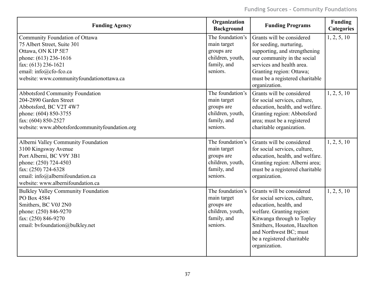| <b>Funding Agency</b>                                                                                                                                                                                                                                                                                                                                    | Organization<br><b>Background</b>                                                                                                                                                | <b>Funding Programs</b>                                                                                                                                                                                                                                                                                                                                                                         | <b>Funding</b><br><b>Categories</b> |
|----------------------------------------------------------------------------------------------------------------------------------------------------------------------------------------------------------------------------------------------------------------------------------------------------------------------------------------------------------|----------------------------------------------------------------------------------------------------------------------------------------------------------------------------------|-------------------------------------------------------------------------------------------------------------------------------------------------------------------------------------------------------------------------------------------------------------------------------------------------------------------------------------------------------------------------------------------------|-------------------------------------|
| Community Foundation of Ottawa<br>75 Albert Street, Suite 301<br>Ottawa, ON K1P 5E7<br>phone: (613) 236-1616<br>fax: (613) 236-1621<br>email: info@cfo-fco.ca<br>website: www.communityfoundationottawa.ca<br><b>Abbotsford Community Foundation</b><br>204-2890 Garden Street<br>Abbotsford, BC V2T 4W7<br>phone: (604) 850-3755<br>fax: (604) 850-2527 | The foundation's<br>main target<br>groups are<br>children, youth,<br>family, and<br>seniors.<br>The foundation's<br>main target<br>groups are<br>children, youth,<br>family, and | Grants will be considered<br>for seeding, nurturing,<br>supporting, and strengthening<br>our community in the social<br>services and health area.<br>Granting region: Ottawa;<br>must be a registered charitable<br>organization.<br>Grants will be considered<br>for social services, culture,<br>education, health, and welfare.<br>Granting region: Abbotsford<br>area; must be a registered | 1, 2, 5, 10<br>1, 2, 5, 10          |
| website: www.abbotsfordcommunityfoundation.org<br>Alberni Valley Community Foundation<br>3100 Kingsway Avenue<br>Port Alberni, BC V9Y 3B1<br>phone: (250) 724-4503<br>fax: (250) 724-6328<br>email: info@albernifoundation.ca<br>website: www.albernifoundation.ca                                                                                       | seniors.<br>The foundation's<br>main target<br>groups are<br>children, youth,<br>family, and<br>seniors.                                                                         | charitable organization.<br>Grants will be considered<br>for social services, culture,<br>education, health, and welfare.<br>Granting region: Alberni area;<br>must be a registered charitable<br>organization.                                                                                                                                                                                 | 1, 2, 5, 10                         |
| <b>Bulkley Valley Community Foundation</b><br>PO Box 4584<br>Smithers, BC V0J 2N0<br>phone: (250) 846-9270<br>fax: (250) 846-9270<br>email: bvfoundation@bulkley.net                                                                                                                                                                                     | The foundation's<br>main target<br>groups are<br>children, youth,<br>family, and<br>seniors.                                                                                     | Grants will be considered<br>for social services, culture,<br>education, health, and<br>welfare. Granting region:<br>Kitwanga through to Topley<br>Smithers, Houston, Hazelton<br>and Northwest BC; must<br>be a registered charitable<br>organization.                                                                                                                                         | 1, 2, 5, 10                         |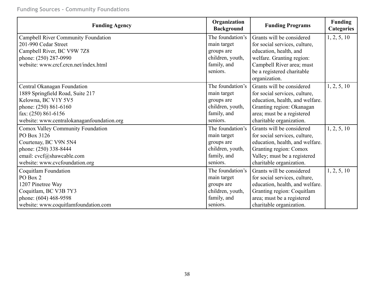**Funding Sources - Community Foundations**

| <b>Funding Agency</b>                      | Organization<br><b>Background</b> | <b>Funding Programs</b>         | <b>Funding</b><br><b>Categories</b> |
|--------------------------------------------|-----------------------------------|---------------------------------|-------------------------------------|
| <b>Campbell River Community Foundation</b> | The foundation's                  | Grants will be considered       | 1, 2, 5, 10                         |
| 201-990 Cedar Street                       | main target                       | for social services, culture,   |                                     |
| Campbell River, BC V9W 7Z8                 | groups are                        | education, health, and          |                                     |
| phone: (250) 287-0990                      | children, youth,                  | welfare. Granting region:       |                                     |
| website: www.crcf.crcn.net/index.html      | family, and                       | Campbell River area; must       |                                     |
|                                            | seniors.                          | be a registered charitable      |                                     |
|                                            |                                   | organization.                   |                                     |
| Central Okanagan Foundation                | The foundation's                  | Grants will be considered       | 1, 2, 5, 10                         |
| 1889 Springfield Road, Suite 217           | main target                       | for social services, culture,   |                                     |
| Kelowna, BC V1Y 5V5                        | groups are                        | education, health, and welfare. |                                     |
| phone: (250) 861-6160                      | children, youth,                  | Granting region: Okanagan       |                                     |
| fax: $(250)$ 861-6156                      | family, and                       | area; must be a registered      |                                     |
| website: www.centralokanaganfoundation.org | seniors.                          | charitable organization.        |                                     |
| Comox Valley Community Foundation          | The foundation's                  | Grants will be considered       | 1, 2, 5, 10                         |
| PO Box 3126                                | main target                       | for social services, culture,   |                                     |
| Courtenay, BC V9N 5N4                      | groups are                        | education, health, and welfare. |                                     |
| phone: (250) 338-8444                      | children, youth,                  | Granting region: Comox          |                                     |
| email: cvcf@shawcable.com                  | family, and                       | Valley; must be a registered    |                                     |
| website: www.cvcfoundation.org             | seniors.                          | charitable organization.        |                                     |
| Coquitlam Foundation                       | The foundation's                  | Grants will be considered       | 1, 2, 5, 10                         |
| PO Box 2                                   | main target                       | for social services, culture,   |                                     |
| 1207 Pinetree Way                          | groups are                        | education, health, and welfare. |                                     |
| Coquitlam, BC V3B 7Y3                      | children, youth,                  | Granting region: Coquitlam      |                                     |
| phone: (604) 468-9598                      | family, and                       | area; must be a registered      |                                     |
| website: www.coquitlamfoundation.com       | seniors.                          | charitable organization.        |                                     |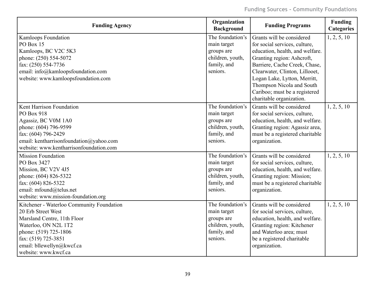| <b>Funding Agency</b>                     | Organization<br><b>Background</b> | <b>Funding Programs</b>         | <b>Funding</b><br><b>Categories</b> |
|-------------------------------------------|-----------------------------------|---------------------------------|-------------------------------------|
| Kamloops Foundation                       | The foundation's                  | Grants will be considered       | 1, 2, 5, 10                         |
| PO Box 15                                 | main target                       | for social services, culture,   |                                     |
| Kamloops, BC V2C 5K3                      | groups are                        | education, health, and welfare. |                                     |
| phone: (250) 554-5072                     | children, youth,                  | Granting region: Ashcroft,      |                                     |
| fax: (250) 554-7736                       | family, and                       | Barriere, Cache Creek, Chase,   |                                     |
| email: info@kamloopsfoundation.com        | seniors.                          | Clearwater, Clinton, Lillooet,  |                                     |
| website: www.kamloopsfoundation.com       |                                   | Logan Lake, Lytton, Merritt,    |                                     |
|                                           |                                   | Thompson Nicola and South       |                                     |
|                                           |                                   | Cariboo; must be a registered   |                                     |
|                                           |                                   | charitable organization.        |                                     |
| Kent Harrison Foundation                  | The foundation's                  | Grants will be considered       | 1, 2, 5, 10                         |
| PO Box 918                                | main target                       | for social services, culture,   |                                     |
| Agassiz, BC V0M 1A0                       | groups are                        | education, health, and welfare. |                                     |
| phone: (604) 796-9599                     | children, youth,                  | Granting region: Agassiz area,  |                                     |
| fax: (604) 796-2429                       | family, and                       | must be a registered charitable |                                     |
| email: kentharrisonfoundation@yahoo.com   | seniors.                          | organization.                   |                                     |
| website: www.kentharrisonfoundation.com   |                                   |                                 |                                     |
| <b>Mission Foundation</b>                 | The foundation's                  | Grants will be considered       | 1, 2, 5, 10                         |
| PO Box 3427                               | main target                       | for social services, culture,   |                                     |
| Mission, BC V2V 4J5                       | groups are                        | education, health, and welfare. |                                     |
| phone: (604) 826-5322                     | children, youth,                  | Granting region: Mission;       |                                     |
| fax: (604) 826-5322                       | family, and                       | must be a registered charitable |                                     |
| email: mfound@telus.net                   | seniors.                          | organization.                   |                                     |
| website: www.mission-foundation.org       |                                   |                                 |                                     |
| Kitchener - Waterloo Community Foundation | The foundation's                  | Grants will be considered       | 1, 2, 5, 10                         |
| 20 Erb Street West                        | main target                       | for social services, culture,   |                                     |
| Marsland Centre, 11th Floor               | groups are                        | education, health, and welfare. |                                     |
| Waterloo, ON N2L 1T2                      | children, youth,                  | Granting region: Kitchener      |                                     |
| phone: (519) 725-1806                     | family, and                       | and Waterloo area; must         |                                     |
| fax: (519) 725-3851                       | seniors.                          | be a registered charitable      |                                     |
| email: bllewellyn@kwcf.ca                 |                                   | organization.                   |                                     |
| website: www.kwcf.ca                      |                                   |                                 |                                     |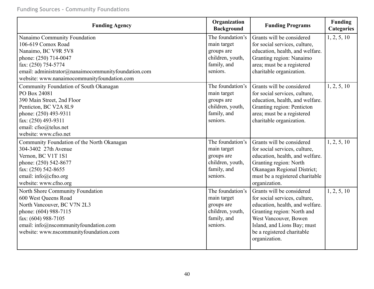| <b>Funding Agency</b>                                                                                                                                                                                                           | Organization<br><b>Background</b>                                                            | <b>Funding Programs</b>                                                                                                                                                                                                            | <b>Funding</b><br><b>Categories</b> |
|---------------------------------------------------------------------------------------------------------------------------------------------------------------------------------------------------------------------------------|----------------------------------------------------------------------------------------------|------------------------------------------------------------------------------------------------------------------------------------------------------------------------------------------------------------------------------------|-------------------------------------|
| Nanaimo Community Foundation<br>106-619 Comox Road<br>Nanaimo, BC V9R 5V8<br>phone: (250) 714-0047<br>fax: (250) 754-5774<br>email: administrator@nanaimocommunityfoundation.com<br>website: www.nanaimocommunityfoundation.com | The foundation's<br>main target<br>groups are<br>children, youth,<br>family, and<br>seniors. | Grants will be considered<br>for social services, culture,<br>education, health, and welfare.<br>Granting region: Nanaimo<br>area; must be a registered<br>charitable organization.                                                | 1, 2, 5, 10                         |
| Community Foundation of South Okanagan<br>PO Box 24081<br>390 Main Street, 2nd Floor<br>Penticton, BC V2A 8L9<br>phone: (250) 493-9311<br>fax: (250) 493-9311<br>email: cfso@telus.net<br>website: www.cfso.net                 | The foundation's<br>main target<br>groups are<br>children, youth,<br>family, and<br>seniors. | Grants will be considered<br>for social services, culture,<br>education, health, and welfare.<br>Granting region: Penticton<br>area; must be a registered<br>charitable organization.                                              | 1, 2, 5, 10                         |
| Community Foundation of the North Okanagan<br>304-3402 27th Avenue<br>Vernon, BC V1T 1S1<br>phone: (250) 542-8677<br>fax: (250) 542-8655<br>email: info@cfno.org<br>website: www.cfno.org                                       | The foundation's<br>main target<br>groups are<br>children, youth,<br>family, and<br>seniors. | Grants will be considered<br>for social services, culture,<br>education, health, and welfare.<br>Granting region: North<br>Okanagan Regional District;<br>must be a registered charitable<br>organization.                         | 1, 2, 5, 10                         |
| North Shore Community Foundation<br>600 West Queens Road<br>North Vancouver, BC V7N 2L3<br>phone: (604) 988-7115<br>fax: (604) 988-7105<br>email: info@nscommunityfoundation.com<br>website: www.nscommunityfoundation.com      | The foundation's<br>main target<br>groups are<br>children, youth,<br>family, and<br>seniors. | Grants will be considered<br>for social services, culture,<br>education, health, and welfare.<br>Granting region: North and<br>West Vancouver, Bowen<br>Island, and Lions Bay; must<br>be a registered charitable<br>organization. | 1, 2, 5, 10                         |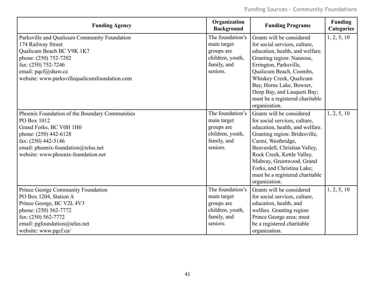| <b>Funding Agency</b>                          | Organization<br><b>Background</b> | <b>Funding Programs</b>         | <b>Funding</b><br><b>Categories</b> |
|------------------------------------------------|-----------------------------------|---------------------------------|-------------------------------------|
| Parksville and Qualicum Community Foundation   | The foundation's                  | Grants will be considered       | 1, 2, 5, 10                         |
| 174 Railway Street                             | main target                       | for social services, culture,   |                                     |
| Qualicum Beach BC V9K 1K7                      | groups are                        | education, health, and welfare. |                                     |
| phone: (250) 752-7202                          | children, youth,                  | Granting region: Nanoose,       |                                     |
| fax: $(250)$ 752-7246                          | family, and                       | Errington, Parksville,          |                                     |
| email: pqcf@shaw.ca                            | seniors.                          | Qualicum Beach, Coombs,         |                                     |
| website: www.parksvillequalicumfoundation.com  |                                   | Whiskey Creek, Qualicum         |                                     |
|                                                |                                   | Bay, Horne Lake, Bowser,        |                                     |
|                                                |                                   | Deep Bay, and Lasqueti Bay;     |                                     |
|                                                |                                   | must be a registered charitable |                                     |
|                                                |                                   | organization.                   |                                     |
| Phoenix Foundation of the Boundary Communities | The foundation's                  | Grants will be considered       | 1, 2, 5, 10                         |
| PO Box 1012                                    | main target                       | for social services, culture,   |                                     |
| Grand Forks, BC V0H 1H0                        | groups are                        | education, health, and welfare. |                                     |
| phone: (250) 442-6128                          | children, youth,                  | Granting region: Bridesville,   |                                     |
| fax: (250) 442-5146                            | family, and                       | Carmi, Westbridge,              |                                     |
| email: phoenix-foundation@telus.net            | seniors.                          | Beaverdell, Christian Valley,   |                                     |
| website: www.phoenix-foundation.net            |                                   | Rock Creek, Kettle Valley,      |                                     |
|                                                |                                   | Midway, Greenwood, Grand        |                                     |
|                                                |                                   | Forks, and Christina Lake;      |                                     |
|                                                |                                   | must be a registered charitable |                                     |
|                                                |                                   | organization.                   |                                     |
| Prince George Community Foundation             | The foundation's                  | Grants will be considered       | 1, 2, 5, 10                         |
| PO Box 1204, Station A                         | main target                       | for social services, culture,   |                                     |
| Prince George, BC V2L 4V3                      | groups are                        | education, health, and          |                                     |
| phone: (250) 562-7772                          | children, youth,                  | welfare. Granting region:       |                                     |
| fax: (250) 562-7772                            | family, and                       | Prince George area; must        |                                     |
| email: pgfoundation@telus.net                  | seniors.                          | be a registered charitable      |                                     |
| website: www.pgcf.ca/                          |                                   | organization.                   |                                     |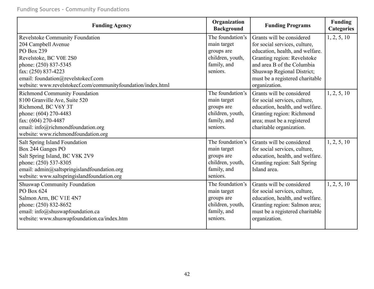**Funding Sources - Community Foundations**

| <b>Funding Agency</b>                                        | Organization<br><b>Background</b> | <b>Funding Programs</b>         | <b>Funding</b><br><b>Categories</b> |
|--------------------------------------------------------------|-----------------------------------|---------------------------------|-------------------------------------|
| Revelstoke Community Foundation                              | The foundation's                  | Grants will be considered       | 1, 2, 5, 10                         |
| 204 Campbell Avenue                                          | main target                       | for social services, culture,   |                                     |
| PO Box 239                                                   | groups are                        | education, health, and welfare. |                                     |
| Revelstoke, BC V0E 2S0                                       | children, youth,                  | Granting region: Revelstoke     |                                     |
| phone: (250) 837-5345                                        | family, and                       | and area B of the Columbia      |                                     |
| fax: (250) 837-4223                                          | seniors.                          | Shuswap Regional District;      |                                     |
| email: foundation@revelstokecf.com                           |                                   | must be a registered charitable |                                     |
| website: www.revelstokecf.com/communityfoundation/index.html |                                   | organization.                   |                                     |
| <b>Richmond Community Foundation</b>                         | The foundation's                  | Grants will be considered       | 1, 2, 5, 10                         |
| 8100 Granville Ave, Suite 520                                | main target                       | for social services, culture,   |                                     |
| Richmond, BC V6Y 3T                                          | groups are                        | education, health, and welfare. |                                     |
| phone: (604) 270-4483                                        | children, youth,                  | Granting region: Richmond       |                                     |
| fax: (604) 270-4487                                          | family, and                       | area; must be a registered      |                                     |
| email: info@richmondfoundation.org                           | seniors.                          | charitable organization.        |                                     |
| website: www.richmondfoundation.org                          |                                   |                                 |                                     |
| Salt Spring Island Foundation                                | The foundation's                  | Grants will be considered       | 1, 2, 5, 10                         |
| Box 244 Ganges PO                                            | main target                       | for social services, culture,   |                                     |
| Salt Spring Island, BC V8K 2V9                               | groups are                        | education, health, and welfare. |                                     |
| phone: (250) 537-8305                                        | children, youth,                  | Granting region: Salt Spring    |                                     |
| email: admin@saltspringislandfoundation.org                  | family, and                       | Island area.                    |                                     |
| website: www.saltspringislandfoundation.org                  | seniors.                          |                                 |                                     |
| <b>Shuswap Community Foundation</b>                          | The foundation's                  | Grants will be considered       | 1, 2, 5, 10                         |
| PO Box 624                                                   | main target                       | for social services, culture,   |                                     |
| Salmon Arm, BC V1E 4N7                                       | groups are                        | education, health, and welfare. |                                     |
| phone: (250) 832-8652                                        | children, youth,                  | Granting region: Salmon area;   |                                     |
| email: info@shuswapfoundation.ca                             | family, and                       | must be a registered charitable |                                     |
| website: www.shuswapfoundation.ca/index.htm                  | seniors.                          | organization.                   |                                     |
|                                                              |                                   |                                 |                                     |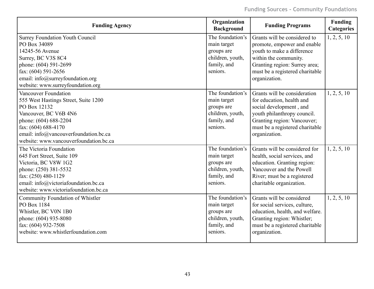| <b>Funding Agency</b>                                  | Organization<br><b>Background</b> | <b>Funding Programs</b>                                     | <b>Funding</b><br><b>Categories</b> |
|--------------------------------------------------------|-----------------------------------|-------------------------------------------------------------|-------------------------------------|
| <b>Surrey Foundation Youth Council</b><br>PO Box 34089 | The foundation's<br>main target   | Grants will be considered to<br>promote, empower and enable | 1, 2, 5, 10                         |
| 14245-56 Avenue                                        | groups are                        | youth to make a difference                                  |                                     |
| Surrey, BC V3S 8C4                                     | children, youth,                  | within the community.                                       |                                     |
| phone: (604) 591-2699                                  | family, and                       | Granting region: Surrey area;                               |                                     |
| fax: (604) 591-2656                                    | seniors.                          | must be a registered charitable                             |                                     |
| email: info@surreyfoundation.org                       |                                   | organization.                                               |                                     |
| website: www.surreyfoundation.org                      |                                   |                                                             |                                     |
| Vancouver Foundation                                   | The foundation's                  | Grants will be consideration                                | 1, 2, 5, 10                         |
| 555 West Hastings Street, Suite 1200                   | main target                       | for education, health and                                   |                                     |
| PO Box 12132                                           | groups are                        | social development, and                                     |                                     |
| Vancouver, BC V6B 4N6                                  | children, youth,                  | youth philanthropy council.                                 |                                     |
| phone: (604) 688-2204                                  | family, and                       | Granting region: Vancouver;                                 |                                     |
| fax: (604) 688-4170                                    | seniors.                          | must be a registered charitable                             |                                     |
| email: info@vancouverfoundation.bc.ca                  |                                   | organization.                                               |                                     |
| website: www.vancouverfoundation.bc.ca                 |                                   |                                                             |                                     |
| The Victoria Foundation                                | The foundation's                  | Grants will be considered for                               | 1, 2, 5, 10                         |
| 645 Fort Street, Suite 109                             | main target                       | health, social services, and                                |                                     |
| Victoria, BC V8W 1G2                                   | groups are                        | education. Granting region:                                 |                                     |
| phone: (250) 381-5532                                  | children, youth,                  | Vancouver and the Powell                                    |                                     |
| fax: (250) 480-1129                                    | family, and                       | River; must be a registered                                 |                                     |
| email: info@victoriafoundation.bc.ca                   | seniors.                          | charitable organization.                                    |                                     |
| website: www.victoriafoundation.bc.ca                  |                                   |                                                             |                                     |
| Community Foundation of Whistler                       | The foundation's                  | Grants will be considered                                   | 1, 2, 5, 10                         |
| PO Box 1184                                            | main target                       | for social services, culture,                               |                                     |
| Whistler, BC V0N 1B0                                   | groups are                        | education, health, and welfare.                             |                                     |
| phone: (604) 935-8080                                  | children, youth,                  | Granting region: Whistler;                                  |                                     |
| fax: (604) 932-7508                                    | family, and                       | must be a registered charitable                             |                                     |
| website: www.whistlerfoundation.com                    | seniors.                          | organization.                                               |                                     |
|                                                        |                                   |                                                             |                                     |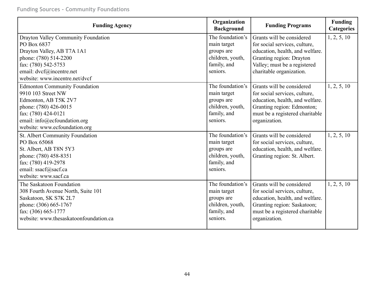**Funding Sources - Community Foundations**

| <b>Funding Agency</b>                                                                                                                                                                               | Organization<br><b>Background</b>                                                            | <b>Funding Programs</b>                                                                                                                                                               | <b>Funding</b><br><b>Categories</b> |
|-----------------------------------------------------------------------------------------------------------------------------------------------------------------------------------------------------|----------------------------------------------------------------------------------------------|---------------------------------------------------------------------------------------------------------------------------------------------------------------------------------------|-------------------------------------|
| Drayton Valley Community Foundation<br>PO Box 6837<br>Drayton Valley, AB T7A 1A1<br>phone: (780) 514-2200<br>fax: (780) 542-5753<br>email: dvcf@incentre.net<br>website: www.incentre.net/dvcf      | The foundation's<br>main target<br>groups are<br>children, youth,<br>family, and<br>seniors. | Grants will be considered<br>for social services, culture,<br>education, health, and welfare.<br>Granting region: Drayton<br>Valley; must be a registered<br>charitable organization. | 1, 2, 5, 10                         |
| <b>Edmonton Community Foundation</b><br>9910 103 Street NW<br>Edmonton, AB T5K 2V7<br>phone: (780) 426-0015<br>fax: (780) 424-0121<br>email: info@ecfoundation.org<br>website: www.ecfoundation.org | The foundation's<br>main target<br>groups are<br>children, youth,<br>family, and<br>seniors. | Grants will be considered<br>for social services, culture,<br>education, health, and welfare.<br>Granting region: Edmonton;<br>must be a registered charitable<br>organization.       | 1, 2, 5, 10                         |
| St. Albert Community Foundation<br>PO Box 65068<br>St. Albert, AB T8N 5Y3<br>phone: (780) 458-8351<br>fax: (780) 419-2978<br>email: ssacf@sacf.ca<br>website: www.sacf.ca                           | The foundation's<br>main target<br>groups are<br>children, youth,<br>family, and<br>seniors. | Grants will be considered<br>for social services, culture,<br>education, health, and welfare.<br>Granting region: St. Albert.                                                         | 1, 2, 5, 10                         |
| The Saskatoon Foundation<br>308 Fourth Avenue North, Suite 101<br>Saskatoon, SK S7K 2L7<br>phone: (306) 665-1767<br>fax: (306) 665-1777<br>website: www.thesaskatoonfoundation.ca                   | The foundation's<br>main target<br>groups are<br>children, youth,<br>family, and<br>seniors. | Grants will be considered<br>for social services, culture,<br>education, health, and welfare.<br>Granting region: Saskatoon;<br>must be a registered charitable<br>organization.      | 1, 2, 5, 10                         |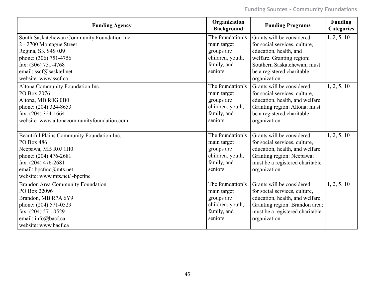| <b>Funding Agency</b>                        | Organization<br><b>Background</b> | <b>Funding Programs</b>         | <b>Funding</b><br><b>Categories</b> |
|----------------------------------------------|-----------------------------------|---------------------------------|-------------------------------------|
| South Saskatchewan Community Foundation Inc. | The foundation's                  | Grants will be considered       | 1, 2, 5, 10                         |
| 2 - 2700 Montague Street                     | main target                       | for social services, culture,   |                                     |
| Regina, SK S4S 0J9                           | groups are                        | education, health, and          |                                     |
| phone: (306) 751-4756                        | children, youth,                  | welfare. Granting region:       |                                     |
| fax: (306) 751-4768                          | family, and                       | Southern Saskatchewan; must     |                                     |
| email: sscf@sasktel.net                      | seniors.                          | be a registered charitable      |                                     |
| website: www.sscf.ca                         |                                   | organization.                   |                                     |
| Altona Community Foundation Inc.             | The foundation's                  | Grants will be considered       | 1, 2, 5, 10                         |
| PO Box 2076                                  | main target                       | for social services, culture,   |                                     |
| Altona, MB R0G 0B0                           | groups are                        | education, health, and welfare. |                                     |
| phone: (204) 324-8653                        | children, youth,                  | Granting region: Altona; must   |                                     |
| fax: (204) 324-1664                          | family, and                       | be a registered charitable      |                                     |
| website: www.altonacommunityfoundation.com   | seniors.                          | organization.                   |                                     |
|                                              |                                   |                                 |                                     |
| Beautiful Plains Community Foundation Inc.   | The foundation's                  | Grants will be considered       | 1, 2, 5, 10                         |
| PO Box 486                                   | main target                       | for social services, culture,   |                                     |
| Neepawa, MB R0J 1H0                          | groups are                        | education, health, and welfare. |                                     |
| phone: (204) 476-2681                        | children, youth,                  | Granting region: Neepawa;       |                                     |
| fax: (204) 476-2681                          | family, and                       | must be a registered charitable |                                     |
| email: bpcfinc@mts.net                       | seniors.                          | organization.                   |                                     |
| website: www.mts.net/~bpcfinc                |                                   |                                 |                                     |
| <b>Brandon Area Community Foundation</b>     | The foundation's                  | Grants will be considered       | 1, 2, 5, 10                         |
| PO Box 22096                                 | main target                       | for social services, culture,   |                                     |
| Brandon, MB R7A 6Y9                          | groups are                        | education, health, and welfare. |                                     |
| phone: (204) 571-0529                        | children, youth,                  | Granting region: Brandon area;  |                                     |
| fax: (204) 571-0529                          | family, and                       | must be a registered charitable |                                     |
| email: info@bacf.ca                          | seniors.                          | organization.                   |                                     |
| website: www.bacf.ca                         |                                   |                                 |                                     |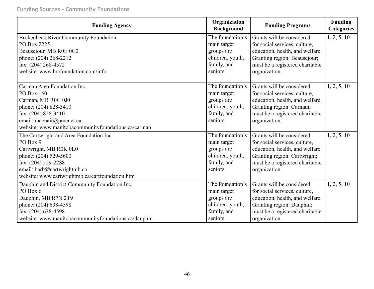| <b>Funding Agency</b>                                | Organization<br><b>Background</b> | <b>Funding Programs</b>         | <b>Funding</b><br><b>Categories</b> |
|------------------------------------------------------|-----------------------------------|---------------------------------|-------------------------------------|
| <b>Brokenhead River Community Foundation</b>         | The foundation's                  | Grants will be considered       | 1, 2, 5, 10                         |
| PO Box 2225                                          | main target                       | for social services, culture,   |                                     |
| Beausejour, MB R0E 0C0                               | groups are                        | education, health, and welfare. |                                     |
| phone: (204) 268-2212                                | children, youth,                  | Granting region: Beausejour;    |                                     |
| fax: (204) 268-4572                                  | family, and                       | must be a registered charitable |                                     |
| website: www.brcfoundation.com/info                  | seniors.                          | organization.                   |                                     |
| Carman Area Foundation Inc.                          | The foundation's                  | Grants will be considered       | 1, 2, 5, 10                         |
| PO Box 160                                           | main target                       | for social services, culture,   |                                     |
| Carman, MB R0G 0J0                                   | groups are                        | education, health, and welfare. |                                     |
| phone: (204) 828-3410                                | children, youth,                  | Granting region: Carman;        |                                     |
| fax: (204) 828-3410                                  | family, and                       | must be a registered charitable |                                     |
| email: macnair@pmcnet.ca                             | seniors.                          | organization.                   |                                     |
| website: www.manitobacommunityfoundations.ca/carman  |                                   |                                 |                                     |
| The Cartwright and Area Foundation Inc.              | The foundation's                  | Grants will be considered       | 1, 2, 5, 10                         |
| PO Box 9                                             | main target                       | for social services, culture,   |                                     |
| Cartwright, MB R0K 0L0                               | groups are                        | education, health, and welfare. |                                     |
| phone: (204) 529-5600                                | children, youth,                  | Granting region: Cartwright;    |                                     |
| fax: (204) 529-2288                                  | family, and                       | must be a registered charitable |                                     |
| email: barb@cartwrightmb.ca                          | seniors.                          | organization.                   |                                     |
| website: www.cartwrightmb.ca/cartfoundation.htm      |                                   |                                 |                                     |
| Dauphin and District Community Foundation Inc.       | The foundation's                  | Grants will be considered       | 1, 2, 5, 10                         |
| PO Box 6                                             | main target                       | for social services, culture,   |                                     |
| Dauphin, MB R7N 2T9                                  | groups are                        | education, health, and welfare. |                                     |
| phone: (204) 638-4598                                | children, youth,                  | Granting region: Dauphin;       |                                     |
| fax: (204) 638-4598                                  | family, and                       | must be a registered charitable |                                     |
| website: www.manitobacommunityfoundations.ca/dauphin | seniors.                          | organization.                   |                                     |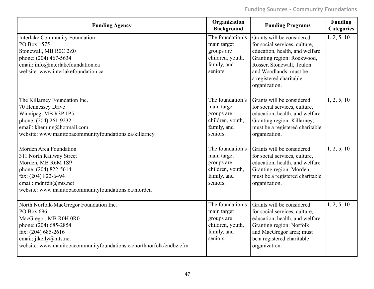| <b>Funding Agency</b>                                                                                                                                                                                                           | Organization<br><b>Background</b>                                                            | <b>Funding Programs</b>                                                                                                                                                                                                        | Funding<br><b>Categories</b> |
|---------------------------------------------------------------------------------------------------------------------------------------------------------------------------------------------------------------------------------|----------------------------------------------------------------------------------------------|--------------------------------------------------------------------------------------------------------------------------------------------------------------------------------------------------------------------------------|------------------------------|
| <b>Interlake Community Foundation</b><br>PO Box 1575<br>Stonewall, MB R0C 2Z0<br>phone: (204) 467-5634<br>email: info@interlakefoundation.ca<br>website: www.interlakefoundation.ca                                             | The foundation's<br>main target<br>groups are<br>children, youth,<br>family, and<br>seniors. | Grants will be considered<br>for social services, culture,<br>education, health, and welfare.<br>Granting region: Rockwood,<br>Rosser, Stonewall, Teulon<br>and Woodlands: must be<br>a registered charitable<br>organization. | 1, 2, 5, 10                  |
| The Killarney Foundation Inc.<br>70 Hennessey Drive<br>Winnipeg, MB R3P 1P5<br>phone: (204) 261-9232<br>email: kheming@hotmail.com<br>website: www.manitobacommunityfoundations.ca/killarney                                    | The foundation's<br>main target<br>groups are<br>children, youth,<br>family, and<br>seniors. | Grants will be considered<br>for social services, culture,<br>education, health, and welfare.<br>Granting region: Killarney;<br>must be a registered charitable<br>organization.                                               | 1, 2, 5, 10                  |
| Morden Area Foundation<br>311 North Railway Street<br>Morden, MB R6M 1S9<br>phone: (204) 822-5614<br>fax: (204) 822-6494<br>email: mdnfdn@mts.net<br>website: www.manitobacommunityfoundations.ca/morden                        | The foundation's<br>main target<br>groups are<br>children, youth,<br>family, and<br>seniors. | Grants will be considered<br>for social services, culture,<br>education, health, and welfare.<br>Granting region: Morden;<br>must be a registered charitable<br>organization.                                                  | 1, 2, 5, 10                  |
| North Norfolk-MacGregor Foundation Inc.<br>PO Box 696<br>MacGregor, MB R0H 0R0<br>phone: (204) 685-2854<br>fax: (204) 685-2616<br>email: jlkelly@mts.net<br>website: www.manitobacommunityfoundations.ca/northnorfolk/cndbz.cfm | The foundation's<br>main target<br>groups are<br>children, youth,<br>family, and<br>seniors. | Grants will be considered<br>for social services, culture,<br>education, health, and welfare.<br>Granting region: Norfolk<br>and MacGregor area; must<br>be a registered charitable<br>organization.                           | 1, 2, 5, 10                  |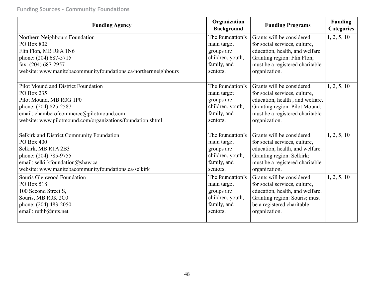| <b>Funding Agency</b>                                           | Organization<br><b>Background</b> | <b>Funding Programs</b>         | <b>Funding</b><br><b>Categories</b> |
|-----------------------------------------------------------------|-----------------------------------|---------------------------------|-------------------------------------|
| Northern Neighbours Foundation                                  | The foundation's                  | Grants will be considered       | 1, 2, 5, 10                         |
| PO Box 802                                                      | main target                       | for social services, culture,   |                                     |
| Flin Flon, MB R8A 1N6                                           | groups are                        | education, health, and welfare  |                                     |
| phone: (204) 687-5715                                           | children, youth,                  | Granting region: Flin Flon;     |                                     |
| fax: (204) 687-2957                                             | family, and                       | must be a registered charitable |                                     |
| website: www.manitobacommunityfoundations.ca/northernneighbours | seniors.                          | organization.                   |                                     |
| Pilot Mound and District Foundation                             | The foundation's                  | Grants will be considered       | 1, 2, 5, 10                         |
| PO Box 235                                                      | main target                       | for social services, culture,   |                                     |
| Pilot Mound, MB R0G 1P0                                         | groups are                        | education, health, and welfare. |                                     |
| phone: (204) 825-2587                                           | children, youth,                  | Granting region: Pilot Mound;   |                                     |
| email: chamberofcommerce@pilotmound.com                         | family, and                       | must be a registered charitable |                                     |
| website: www.pilotmound.com/organizations/foundation.shtml      | seniors.                          | organization.                   |                                     |
| Selkirk and District Community Foundation                       | The foundation's                  | Grants will be considered       | 1, 2, 5, 10                         |
| PO Box 400                                                      | main target                       | for social services, culture,   |                                     |
| Selkirk, MB R1A 2B3                                             | groups are                        | education, health, and welfare. |                                     |
| phone: (204) 785-9755                                           | children, youth,                  | Granting region: Selkirk;       |                                     |
| email: selkirkfoundation@shaw.ca                                | family, and                       | must be a registered charitable |                                     |
| website: www.manitobacommunityfoundations.ca/selkirk            | seniors.                          | organization.                   |                                     |
| Souris Glenwood Foundation                                      | The foundation's                  | Grants will be considered       | 1, 2, 5, 10                         |
| PO Box 518                                                      | main target                       | for social services, culture,   |                                     |
| 100 Second Street S,                                            | groups are                        | education, health, and welfare. |                                     |
| Souris, MB R0K 2C0                                              | children, youth,                  | Granting region: Souris; must   |                                     |
| phone: (204) 483-2050                                           | family, and                       | be a registered charitable      |                                     |
| email: ruthb@mts.net                                            | seniors.                          | organization.                   |                                     |
|                                                                 |                                   |                                 |                                     |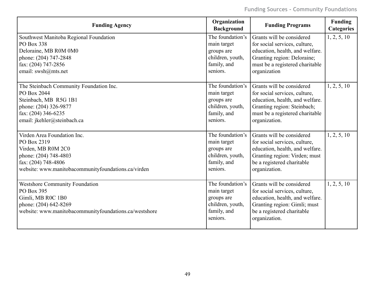| <b>Funding Agency</b>                                                                                                                                       | Organization<br><b>Background</b>                                                            | <b>Funding Programs</b>                                                                                                                                                      | <b>Funding</b><br><b>Categories</b> |
|-------------------------------------------------------------------------------------------------------------------------------------------------------------|----------------------------------------------------------------------------------------------|------------------------------------------------------------------------------------------------------------------------------------------------------------------------------|-------------------------------------|
| Southwest Manitoba Regional Foundation                                                                                                                      | The foundation's                                                                             | Grants will be considered                                                                                                                                                    | 1, 2, 5, 10                         |
| PO Box 338                                                                                                                                                  | main target                                                                                  | for social services, culture,                                                                                                                                                |                                     |
| Deloraine, MB R0M 0M0                                                                                                                                       | groups are                                                                                   | education, health, and welfare.                                                                                                                                              |                                     |
| phone: (204) 747-2848                                                                                                                                       | children, youth,                                                                             | Granting region: Deloraine;                                                                                                                                                  |                                     |
| fax: (204) 747-2856                                                                                                                                         | family, and                                                                                  | must be a registered charitable                                                                                                                                              |                                     |
| email: swsh@mts.net                                                                                                                                         | seniors.                                                                                     | organization                                                                                                                                                                 |                                     |
| The Steinbach Community Foundation Inc.                                                                                                                     | The foundation's                                                                             | Grants will be considered                                                                                                                                                    | 1, 2, 5, 10                         |
| PO Box 2044                                                                                                                                                 | main target                                                                                  | for social services, culture,                                                                                                                                                |                                     |
| Steinbach, MB R5G 1B1                                                                                                                                       | groups are                                                                                   | education, health, and welfare.                                                                                                                                              |                                     |
| phone: (204) 326-9877                                                                                                                                       | children, youth,                                                                             | Granting region: Steinbach;                                                                                                                                                  |                                     |
| fax: (204) 346-6235                                                                                                                                         | family, and                                                                                  | must be a registered charitable                                                                                                                                              |                                     |
| email: jkehler@steinbach.ca                                                                                                                                 | seniors.                                                                                     | organization.                                                                                                                                                                |                                     |
| Virden Area Foundation Inc.                                                                                                                                 | The foundation's                                                                             | Grants will be considered                                                                                                                                                    | 1, 2, 5, 10                         |
| PO Box 2319                                                                                                                                                 | main target                                                                                  | for social services, culture,                                                                                                                                                |                                     |
| Virden, MB R0M 2C0                                                                                                                                          | groups are                                                                                   | education, health, and welfare.                                                                                                                                              |                                     |
| phone: (204) 748-4803                                                                                                                                       | children, youth,                                                                             | Granting region: Virden; must                                                                                                                                                |                                     |
| fax: (204) 748-4806                                                                                                                                         | family, and                                                                                  | be a registered charitable                                                                                                                                                   |                                     |
| website: www.manitobacommunityfoundations.ca/virden                                                                                                         | seniors.                                                                                     | organization.                                                                                                                                                                |                                     |
| <b>Westshore Community Foundation</b><br>PO Box 395<br>Gimli, MB R0C 1B0<br>phone: (204) 642-8269<br>website: www.manitobacommunityfoundations.ca/westshore | The foundation's<br>main target<br>groups are<br>children, youth,<br>family, and<br>seniors. | Grants will be considered<br>for social services, culture,<br>education, health, and welfare.<br>Granting region: Gimli; must<br>be a registered charitable<br>organization. | 1, 2, 5, 10                         |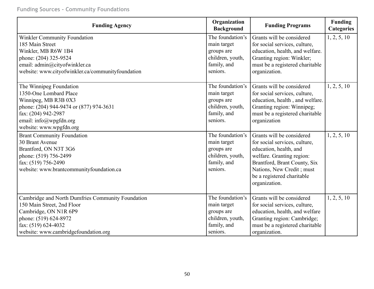### **Funding Sources - Community Foundations**

| <b>Funding Agency</b>                                                                                                                                                                                      | Organization<br><b>Background</b>                                                            | <b>Funding Programs</b>                                                                                                                                                                                                       | <b>Funding</b><br><b>Categories</b> |
|------------------------------------------------------------------------------------------------------------------------------------------------------------------------------------------------------------|----------------------------------------------------------------------------------------------|-------------------------------------------------------------------------------------------------------------------------------------------------------------------------------------------------------------------------------|-------------------------------------|
| <b>Winkler Community Foundation</b><br>185 Main Street<br>Winkler, MB R6W 1B4<br>phone: (204) 325-9524<br>email: admin@cityofwinkler.ca<br>website: www.cityofwinkler.ca/communityfoundation               | The foundation's<br>main target<br>groups are<br>children, youth,<br>family, and<br>seniors. | Grants will be considered<br>for social services, culture,<br>education, health, and welfare.<br>Granting region: Winkler;<br>must be a registered charitable<br>organization.                                                | 1, 2, 5, 10                         |
| The Winnipeg Foundation<br>1350-One Lombard Place<br>Winnipeg, MB R3B 0X3<br>phone: (204) 944-9474 or (877) 974-3631<br>fax: (204) 942-2987<br>email: $info(\omega)$ wpgfdn.org<br>website: www.wpgfdn.org | The foundation's<br>main target<br>groups are<br>children, youth,<br>family, and<br>seniors. | Grants will be considered<br>for social services, culture,<br>education, health, and welfare.<br>Granting region: Winnipeg;<br>must be a registered charitable<br>organization                                                | 1, 2, 5, 10                         |
| <b>Brant Community Foundation</b><br>30 Brant Avenue<br>Brantford, ON N3T 3G6<br>phone: (519) 756-2499<br>fax: (519) 756-2490<br>website: www.brantcommunityfoundation.ca                                  | The foundation's<br>main target<br>groups are<br>children, youth,<br>family, and<br>seniors. | Grants will be considered<br>for social services, culture,<br>education, health, and<br>welfare. Granting region:<br>Brantford, Brant County, Six<br>Nations, New Credit; must<br>be a registered charitable<br>organization. | 1, 2, 5, 10                         |
| Cambridge and North Dumfries Community Foundation<br>150 Main Street, 2nd Floor<br>Cambridge, ON N1R 6P9<br>phone: (519) 624-8972<br>fax: (519) 624-4032<br>website: www.cambridgefoundation.org           | The foundation's<br>main target<br>groups are<br>children, youth,<br>family, and<br>seniors. | Grants will be considered<br>for social services, culture,<br>education, health, and welfare<br>Granting region: Cambridge;<br>must be a registered charitable<br>organization.                                               | 1, 2, 5, 10                         |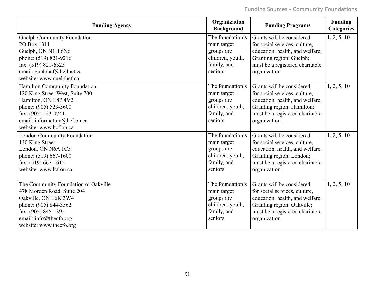| <b>Funding Agency</b>                | Organization<br><b>Background</b> | <b>Funding Programs</b>         | <b>Funding</b><br><b>Categories</b> |
|--------------------------------------|-----------------------------------|---------------------------------|-------------------------------------|
| Guelph Community Foundation          | The foundation's                  | Grants will be considered       | 1, 2, 5, 10                         |
| PO Box 1311                          | main target                       | for social services, culture,   |                                     |
| Guelph, ON N1H 6N6                   | groups are                        | education, health, and welfare. |                                     |
| phone: (519) 821-9216                | children, youth,                  | Granting region: Guelph;        |                                     |
| fax: (519) 821-6525                  | family, and                       | must be a registered charitable |                                     |
| email: guelphcf@bellnet.ca           | seniors.                          | organization.                   |                                     |
| website: www.guelphcf.ca             |                                   |                                 |                                     |
| Hamilton Community Foundation        | The foundation's                  | Grants will be considered       | 1, 2, 5, 10                         |
| 120 King Street West, Suite 700      | main target                       | for social services, culture,   |                                     |
| Hamilton, ON L8P 4V2                 | groups are                        | education, health, and welfare. |                                     |
| phone: (905) 523-5600                | children, youth,                  | Granting region: Hamilton;      |                                     |
| fax: (905) 523-0741                  | family, and                       | must be a registered charitable |                                     |
| email: information@hcf.on.ca         | seniors.                          | organization.                   |                                     |
| website: www.hcf.on.ca               |                                   |                                 |                                     |
| <b>London Community Foundation</b>   | The foundation's                  | Grants will be considered       | 1, 2, 5, 10                         |
| 130 King Street                      | main target                       | for social services, culture,   |                                     |
| London, ON N6A 1C5                   | groups are                        | education, health, and welfare. |                                     |
| phone: (519) 667-1600                | children, youth,                  | Granting region: London;        |                                     |
| fax: (519) 667-1615                  | family, and                       | must be a registered charitable |                                     |
| website: www.lcf.on.ca               | seniors.                          | organization.                   |                                     |
| The Community Foundation of Oakville | The foundation's                  | Grants will be considered       | 1, 2, 5, 10                         |
| 478 Morden Road, Suite 204           | main target                       | for social services, culture,   |                                     |
| Oakville, ON L6K 3W4                 | groups are                        | education, health, and welfare. |                                     |
| phone: (905) 844-3562                | children, youth,                  | Granting region: Oakville;      |                                     |
| fax: (905) 845-1395                  | family, and                       | must be a registered charitable |                                     |
| email: info@thecfo.org               | seniors.                          | organization.                   |                                     |
| website: www.thecfo.org              |                                   |                                 |                                     |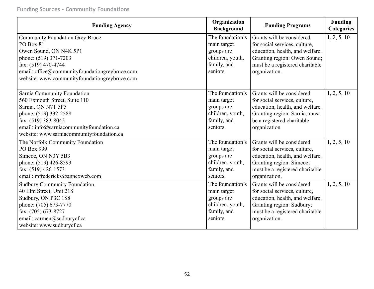| <b>Funding Agency</b>                          | Organization<br><b>Background</b> | <b>Funding Programs</b>         | <b>Funding</b><br><b>Categories</b> |
|------------------------------------------------|-----------------------------------|---------------------------------|-------------------------------------|
| <b>Community Foundation Grey Bruce</b>         | The foundation's                  | Grants will be considered       | 1, 2, 5, 10                         |
| PO Box 81                                      | main target                       | for social services, culture,   |                                     |
| Owen Sound, ON N4K 5P1                         | groups are                        | education, health, and welfare. |                                     |
| phone: (519) 371-7203                          | children, youth,                  | Granting region: Owen Sound;    |                                     |
| fax: (519) 470-4744                            | family, and                       | must be a registered charitable |                                     |
| email: office@communityfoundationgreybruce.com | seniors.                          | organization.                   |                                     |
| website: www.communityfoundationgreybruce.com  |                                   |                                 |                                     |
| Sarnia Community Foundation                    | The foundation's                  | Grants will be considered       | 1, 2, 5, 10                         |
| 560 Exmouth Street, Suite 110                  | main target                       | for social services, culture,   |                                     |
| Sarnia, ON N7T 5P5                             | groups are                        | education, health, and welfare. |                                     |
| phone: (519) 332-2588                          | children, youth,                  | Granting region: Sarnia; must   |                                     |
| fax: (519) 383-8042                            | family, and                       | be a registered charitable      |                                     |
| email: info@sarniacommunityfoundation.ca       | seniors.                          | organization                    |                                     |
| website: www.sarniacommunityfoundation.ca      |                                   |                                 |                                     |
| The Norfolk Community Foundation               | The foundation's                  | Grants will be considered       | 1, 2, 5, 10                         |
| PO Box 999                                     | main target                       | for social services, culture,   |                                     |
| Simcoe, ON N3Y 5B3                             | groups are                        | education, health, and welfare. |                                     |
| phone: (519) 426-8593                          | children, youth,                  | Granting region: Simcoe;        |                                     |
| fax: (519) 426-1573                            | family, and                       | must be a registered charitable |                                     |
| email: mfredericks@annexweb.com                | seniors.                          | organization.                   |                                     |
| <b>Sudbury Community Foundation</b>            | The foundation's                  | Grants will be considered       | 1, 2, 5, 10                         |
| 40 Elm Street, Unit 218                        | main target                       | for social services, culture,   |                                     |
| Sudbury, ON P3C 1S8                            | groups are                        | education, health, and welfare. |                                     |
| phone: (705) 673-7770                          | children, youth,                  | Granting region: Sudbury;       |                                     |
| fax: (705) 673-8727                            | family, and                       | must be a registered charitable |                                     |
| email: carmen@sudburycf.ca                     | seniors.                          | organization.                   |                                     |
| website: www.sudburycf.ca                      |                                   |                                 |                                     |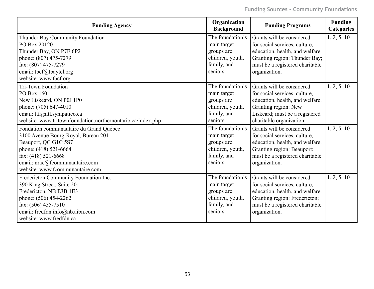| <b>Funding Agency</b>                                       | Organization<br><b>Background</b> | <b>Funding Programs</b>         | <b>Funding</b><br><b>Categories</b> |
|-------------------------------------------------------------|-----------------------------------|---------------------------------|-------------------------------------|
| Thunder Bay Community Foundation                            | The foundation's                  | Grants will be considered       | 1, 2, 5, 10                         |
| PO Box 20120                                                | main target                       | for social services, culture,   |                                     |
| Thunder Bay, ON P7E 6P2                                     | groups are                        | education, health, and welfare. |                                     |
| phone: (807) 475-7279                                       | children, youth,                  | Granting region: Thunder Bay;   |                                     |
| fax: (807) 475-7279                                         | family, and                       | must be a registered charitable |                                     |
| email: tbcf@tbaytel.org                                     | seniors.                          | organization.                   |                                     |
| website: www.tbcf.org                                       |                                   |                                 |                                     |
| <b>Tri-Town Foundation</b>                                  | The foundation's                  | Grants will be considered       | 1, 2, 5, 10                         |
| PO Box 160                                                  | main target                       | for social services, culture,   |                                     |
| New Liskeard, ON P0J 1P0                                    | groups are                        | education, health, and welfare. |                                     |
| phone: (705) 647-4010                                       | children, youth,                  | Granting region: New            |                                     |
| email: ttf@ntl.sympatico.ca                                 | family, and                       | Liskeard; must be a registered  |                                     |
| website: www.tritownfoundation.northernontario.ca/index.php | seniors.                          | charitable organization.        |                                     |
| Fondation communautaire du Grand Québec                     | The foundation's                  | Grants will be considered       | 1, 2, 5, 10                         |
| 3100 Avenue Bourg-Royal, Bureau 201                         | main target                       | for social services, culture,   |                                     |
| Beauport, QC G1C 5S7                                        | groups are                        | education, health, and welfare. |                                     |
| phone: (418) 521-6664                                       | children, youth,                  | Granting region: Beauport;      |                                     |
| fax: $(418)$ 521-6668                                       | family, and                       | must be a registered charitable |                                     |
| email: nrae@fcommunautaire.com                              | seniors.                          | organization.                   |                                     |
| website: www.fcommunautaire.com                             |                                   |                                 |                                     |
| Fredericton Community Foundation Inc.                       | The foundation's                  | Grants will be considered       | 1, 2, 5, 10                         |
| 390 King Street, Suite 201                                  | main target                       | for social services, culture,   |                                     |
| Fredericton, NB E3B 1E3                                     | groups are                        | education, health, and welfare. |                                     |
| phone: (506) 454-2262                                       | children, youth,                  | Granting region: Fredericton;   |                                     |
| fax: $(506)$ 455-7510                                       | family, and                       | must be a registered charitable |                                     |
| email: fredfdn.info@nb.aibn.com                             | seniors.                          | organization.                   |                                     |
| website: www.fredfdn.ca                                     |                                   |                                 |                                     |